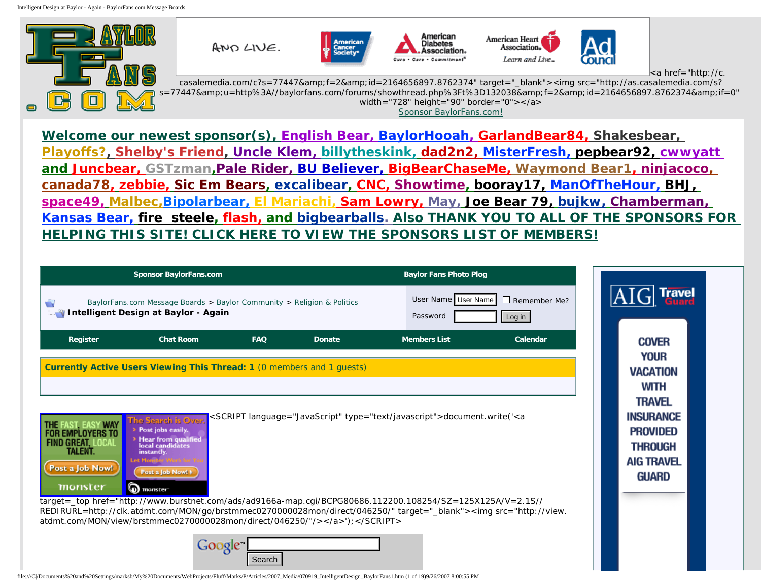<span id="page-0-0"></span>

**[Welcome our newest sponsor\(s\), English Bear, BaylorHooah, GarlandBear84, Shakesbear,](http://www.baylorfans.com/forums/showgroups.php) [Playoffs?, Shelby's Friend, Uncle Klem, billytheskink,](http://www.baylorfans.com/forums/showgroups.php) dad2n2, MisterFresh, pepbear92, cwwyatt and Juncbear, GSTzman,Pale Rider, BU Believer, [BigBearChaseMe, Waymond Bear1, ninjacoco,](http://www.baylorfans.com/forums/showgroups.php)  canada78, zebbie, [Sic Em Bears, excalibear, CNC, Showtime, booray17, ManOfTheHour,](http://www.baylorfans.com/forums/showgroups.php) BHJ, space49, [Malbec,Bipolarbear, El Mariachi, Sam Lowry, May,](http://www.baylorfans.com/forums/showgroups.php) Joe Bear 79, bujkw, Chamberman, Kansas Bear, [fire\\_steele, flash, and bigbearballs. Also THANK YOU TO ALL OF THE SPONSORS FOR](http://www.baylorfans.com/forums/showgroups.php) [HELPING THIS SITE! CLICK HERE TO VIEW THE SPONSORS LIST OF MEMBERS!](http://www.baylorfans.com/forums/showgroups.php)**

|                    | BaylorFans.com Message Boards > Baylor Community > Religion & Politics<br><b>Intelligent Design at Baylor - Again</b>       |            |               | User Name User Name<br>Password                                                                                                                                                                                                                                                                                                                                                                                           | $\Box$ Remember Me?<br>Log in $\vert$ |                                |                                                                                                                                                                                                                                                          |  |  |
|--------------------|-----------------------------------------------------------------------------------------------------------------------------|------------|---------------|---------------------------------------------------------------------------------------------------------------------------------------------------------------------------------------------------------------------------------------------------------------------------------------------------------------------------------------------------------------------------------------------------------------------------|---------------------------------------|--------------------------------|----------------------------------------------------------------------------------------------------------------------------------------------------------------------------------------------------------------------------------------------------------|--|--|
| Register           | <b>Chat Room</b>                                                                                                            | <b>FAQ</b> | <b>Donate</b> | <b>Members List</b>                                                                                                                                                                                                                                                                                                                                                                                                       | Calendar                              | <b>COVER</b>                   |                                                                                                                                                                                                                                                          |  |  |
|                    | <b>Currently Active Users Viewing This Thread: 1 (0 members and 1 guests)</b>                                               |            |               |                                                                                                                                                                                                                                                                                                                                                                                                                           |                                       | <b>YOUR</b><br><b>VACATION</b> |                                                                                                                                                                                                                                                          |  |  |
|                    |                                                                                                                             |            |               |                                                                                                                                                                                                                                                                                                                                                                                                                           |                                       | WITH                           |                                                                                                                                                                                                                                                          |  |  |
|                    |                                                                                                                             |            |               |                                                                                                                                                                                                                                                                                                                                                                                                                           |                                       | <b>TRAVEL</b>                  |                                                                                                                                                                                                                                                          |  |  |
| TALENT.<br>monster | The Search is Over.<br>Post jobs easily.<br><b>Hear from qualified</b><br>local candidates<br>instantly.<br>Post a Job Now! |            |               | <script language="JavaScript" type="text/javascript">document.write('<a</td><td></td><td><b>INSURANCE</b><br><b>PROVIDED</b><br><b>THROUGH</b><br><b>AIG TRAVEL</b><br><b>GUARD</b></td></tr><tr><td><b>THE FAST, EASY WAY</b><br><b>FOR EMPLOYERS TO</b><br><b>FIND GREAT, I</b><br>Post a Job Now!</td><td><math>\circledR</math> monster<br>atdmt.com/MON/view/brstmmec0270000028mon/direct/046250/"/></a>');</script> |                                       |                                | target=_top href="http://www.burstnet.com/ads/ad9166a-map.cgi/BCPG80686.112200.108254/SZ=125X125A/V=2.1S//<br>REDIRURL=http://clk.atdmt.com/MON/go/brstmmec0270000028mon/direct/046250/" target="_blank"><img src="http://view.</td> <td></td> <td></td> |  |  |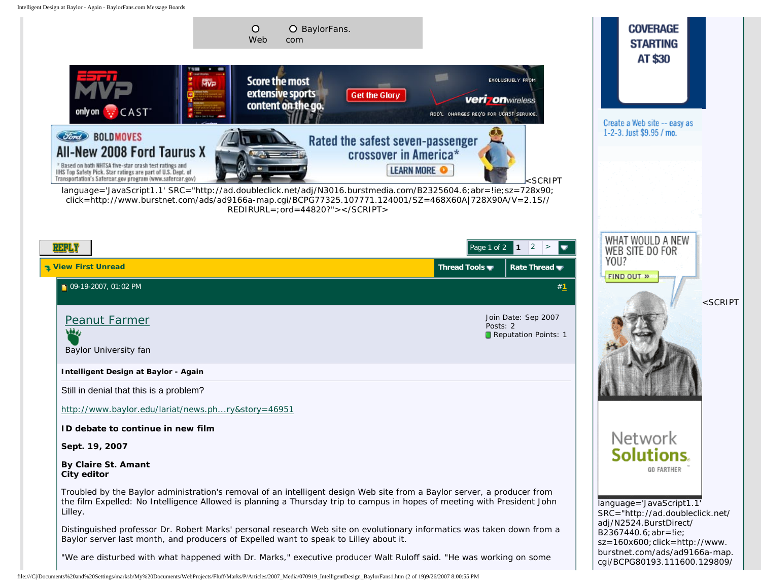Intelligent Design at Baylor - Again - BaylorFans.com Message Boards

<span id="page-1-0"></span>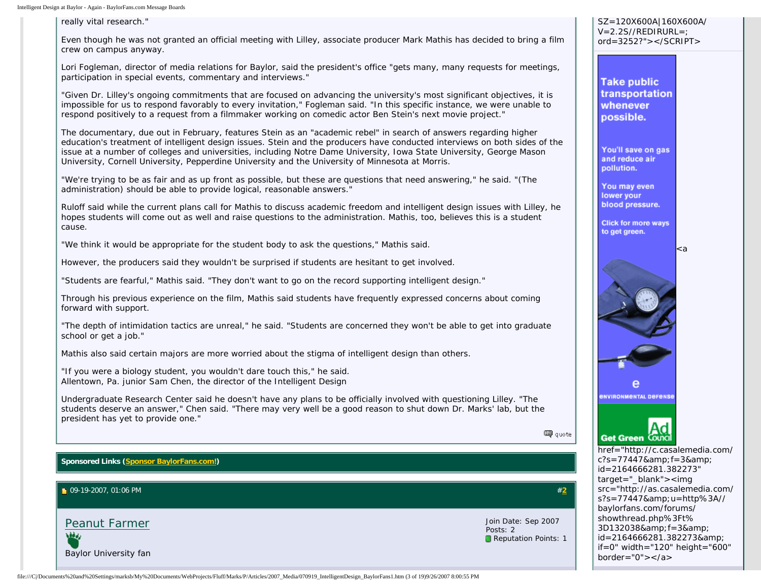really vital research."

Even though he was not granted an official meeting with Lilley, associate producer Mark Mathis has decided to bring a film crew on campus anyway.

Lori Fogleman, director of media relations for Baylor, said the president's office "gets many, many requests for meetings, participation in special events, commentary and interviews."

"Given Dr. Lilley's ongoing commitments that are focused on advancing the university's most significant objectives, it is impossible for us to respond favorably to every invitation," Fogleman said. "In this specific instance, we were unable to respond positively to a request from a filmmaker working on comedic actor Ben Stein's next movie project."

The documentary, due out in February, features Stein as an "academic rebel" in search of answers regarding higher education's treatment of intelligent design issues. Stein and the producers have conducted interviews on both sides of the issue at a number of colleges and universities, including Notre Dame University, Iowa State University, George Mason University, Cornell University, Pepperdine University and the University of Minnesota at Morris.

"We're trying to be as fair and as up front as possible, but these are questions that need answering," he said. "(The administration) should be able to provide logical, reasonable answers."

Ruloff said while the current plans call for Mathis to discuss academic freedom and intelligent design issues with Lilley, he hopes students will come out as well and raise questions to the administration. Mathis, too, believes this is a student cause.

"We think it would be appropriate for the student body to ask the questions," Mathis said.

However, the producers said they wouldn't be surprised if students are hesitant to get involved.

"Students are fearful," Mathis said. "They don't want to go on the record supporting intelligent design."

Through his previous experience on the film, Mathis said students have frequently expressed concerns about coming forward with support.

"The depth of intimidation tactics are unreal," he said. "Students are concerned they won't be able to get into graduate school or get a job."

Mathis also said certain majors are more worried about the stigma of intelligent design than others.

"If you were a biology student, you wouldn't dare touch this," he said. Allentown, Pa. junior Sam Chen, the director of the Intelligent Design

Undergraduate Research Center said he doesn't have any plans to be officially involved with questioning Lilley. "The students deserve an answer," Chen said. "There may very well be a good reason to shut down Dr. Marks' lab, but the president has yet to provide one."

# 国 quote

**Sponsored Links ([Sponsor BaylorFans.com!](http://baylorfans.com/sponsor.php))**

**09-19-2007, 01:06 PM**  #**[2](http://baylorfans.com/forums/showpost.php?p=2195172&postcount=2)** Join Date: Sep 2007 [Peanut Farmer](http://baylorfans.com/forums/member.php?u=14947) Posts: 2 **We Reputation Points: 1** Baylor University fan

file:///C|/Documents%20and%20Settings/marksb/My%20Documents/WebProjects/Fluff/Marks/P/Articles/2007\_Media/070919\_IntelligentDesign\_BaylorFans1.htm (3 of 19)9/26/2007 8:00:55 PM

SZ=120X600A|160X600A/ V=2.2S//REDIRURL=; ord=3252?"></SCRIPT>

**Take public** transportation whenever possible.

You'll save on gas and reduce air pollution.

You may even lower your blood pressure.

**Click for more ways** to get green.

<a





href="http://c.casalemedia.com/  $c$ ?s=77447& f=3& id=2164666281.382273" target="\_blank"><img src="http://as.casalemedia.com/  $s?s = 77447$ & u=http%3A// baylorfans.com/forums/ showthread.php%3Ft% 3D132038& f=3& id=2164666281.382273& if=0" width="120" height="600" border=" $0" >$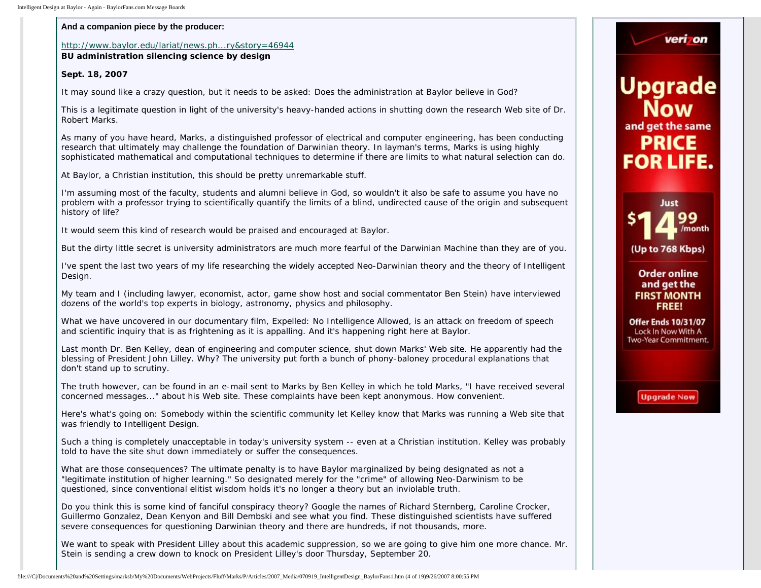# **And a companion piece by the producer:**

[http://www.baylor.edu/lariat/news.ph...ry&story=46944](http://www.baylor.edu/lariat/news.php?action=story&story=46944)

**BU administration silencing science by design**

# **Sept. 18, 2007**

It may sound like a crazy question, but it needs to be asked: Does the administration at Baylor believe in God?

This is a legitimate question in light of the university's heavy-handed actions in shutting down the research Web site of Dr. Robert Marks.

As many of you have heard, Marks, a distinguished professor of electrical and computer engineering, has been conducting research that ultimately may challenge the foundation of Darwinian theory. In layman's terms, Marks is using highly sophisticated mathematical and computational techniques to determine if there are limits to what natural selection can do.

At Baylor, a Christian institution, this should be pretty unremarkable stuff.

I'm assuming most of the faculty, students and alumni believe in God, so wouldn't it also be safe to assume you have no problem with a professor trying to scientifically quantify the limits of a blind, undirected cause of the origin and subsequent history of life?

It would seem this kind of research would be praised and encouraged at Baylor.

But the dirty little secret is university administrators are much more fearful of the Darwinian Machine than they are of you.

I've spent the last two years of my life researching the widely accepted Neo-Darwinian theory and the theory of Intelligent Design.

My team and I (including lawyer, economist, actor, game show host and social commentator Ben Stein) have interviewed dozens of the world's top experts in biology, astronomy, physics and philosophy.

What we have uncovered in our documentary film, Expelled: No Intelligence Allowed, is an attack on freedom of speech and scientific inquiry that is as frightening as it is appalling. And it's happening right here at Baylor.

Last month Dr. Ben Kelley, dean of engineering and computer science, shut down Marks' Web site. He apparently had the blessing of President John Lilley. Why? The university put forth a bunch of phony-baloney procedural explanations that don't stand up to scrutiny.

The truth however, can be found in an e-mail sent to Marks by Ben Kelley in which he told Marks, "I have received several concerned messages..." about his Web site. These complaints have been kept anonymous. How convenient.

Here's what's going on: Somebody within the scientific community let Kelley know that Marks was running a Web site that was friendly to Intelligent Design.

Such a thing is completely unacceptable in today's university system -- even at a Christian institution. Kelley was probably told to have the site shut down immediately or suffer the consequences.

What are those consequences? The ultimate penalty is to have Baylor marginalized by being designated as not a "legitimate institution of higher learning." So designated merely for the "crime" of allowing Neo-Darwinism to be questioned, since conventional elitist wisdom holds it's no longer a theory but an inviolable truth.

Do you think this is some kind of fanciful conspiracy theory? Google the names of Richard Sternberg, Caroline Crocker, Guillermo Gonzalez, Dean Kenyon and Bill Dembski and see what you find. These distinguished scientists have suffered severe consequences for questioning Darwinian theory and there are hundreds, if not thousands, more.

We want to speak with President Lilley about this academic suppression, so we are going to give him one more chance. Mr. Stein is sending a crew down to knock on President Lilley's door Thursday, September 20.





**Order online** and get the **FIRST MONTH FREE!** 

**Offer Ends 10/31/07** Lock In Now With A Two-Year Commitment.

**Upgrade Now**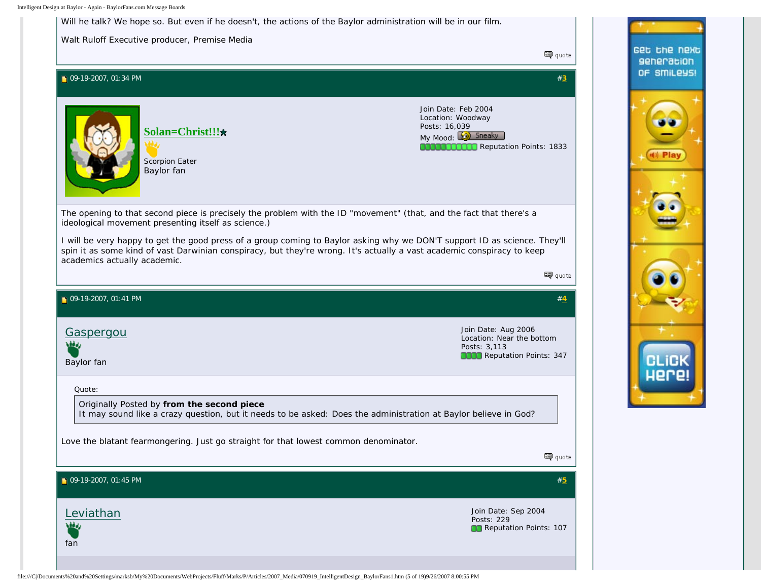■ 09-19-2007, 01:34 PM

Will he talk? We hope so. But even if he doesn't, the actions of the Baylor administration will be in our film.

*Walt Ruloff Executive producer, Premise Media*

**[Solan=Christ!!!](http://baylorfans.com/forums/member.php?u=7033)**

Scorpion Eater Baylor fan

国 quote

| ⊑⊞) quot                                                                                                                       |
|--------------------------------------------------------------------------------------------------------------------------------|
| #3                                                                                                                             |
| Join Date: Feb 2004<br>Location: Woodway<br>Posts: 16,039<br>My Mood: (4) Sneaky<br><b>COLORADO Reputation Points: 1833</b>    |
| movement" (that, and the fact that there's a                                                                                   |
| asking why we DON'T support ID as science. They'll<br>وسادا سلاويه ومساعده ومستوس والمستواء وسيرو والمستقل والمتواطئ والمستحير |

The opening to that second piece is precisely the problem with the ID "movement" (that, and the fact that there's a ideological movement presenting itself as science.)

I will be very happy to get the good press of a group coming to Baylor asking why we DON'T support ID as science. They'll spin it as some kind of vast Darwinian conspiracy, but they're wrong. It's actually a vast academic conspiracy to keep academics actually academic.

国 quote

| $\Box$ 09-19-2007, 01:41 PM                                                                                                                                             | #4                                                                                                     |
|-------------------------------------------------------------------------------------------------------------------------------------------------------------------------|--------------------------------------------------------------------------------------------------------|
| Gaspergou<br>رىققا<br>Baylor fan                                                                                                                                        | Join Date: Aug 2006<br>Location: Near the bottom<br>Posts: 3,113<br><b>DOOD</b> Reputation Points: 347 |
| Quote:<br>Originally Posted by from the second piece<br>It may sound like a crazy question, but it needs to be asked: Does the administration at Baylor believe in God? |                                                                                                        |
| Love the blatant fearmongering. Just go straight for that lowest common denominator.                                                                                    | 国 quote                                                                                                |
| 09-19-2007, 01:45 PM                                                                                                                                                    | #5                                                                                                     |
| Leviathan<br>业<br>fan                                                                                                                                                   | Join Date: Sep 2004<br>Posts: 229<br>Reputation Points: 107                                            |



| Get the next<br>seneration<br>OF SMILEYS! |
|-------------------------------------------|
|                                           |
|                                           |
|                                           |
| click<br>Here!                            |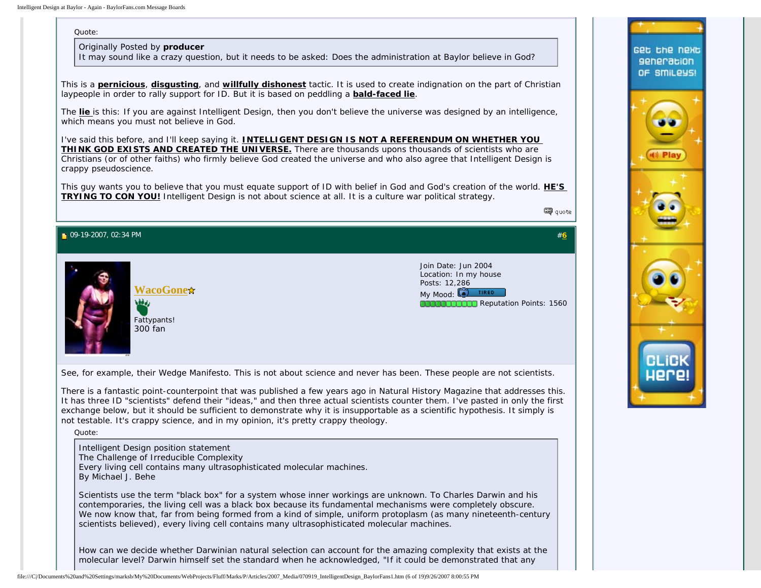#### Quote:

### Originally Posted by **producer**

*It may sound like a crazy question, but it needs to be asked: Does the administration at Baylor believe in God?*

This is a **pernicious**, **disgusting**, and **willfully dishonest** tactic. It is used to create indignation on the part of Christian laypeople in order to rally support for ID. But it is based on peddling a **bald-faced lie**.

The **lie** is this: If you are against Intelligent Design, then you don't believe the universe was designed by an intelligence, which means you must not believe in God.

I've said this before, and I'll keep saying it. **INTELLIGENT DESIGN IS NOT A REFERENDUM ON WHETHER YOU THINK GOD EXISTS AND CREATED THE UNIVERSE.** There are thousands upons thousands of scientists who are Christians (or of other faiths) who firmly believe God created the universe and who also agree that Intelligent Design is crappy pseudoscience.

This guy wants you to believe that you must equate support of ID with belief in God and God's creation of the world. **HE'S TRYING TO CON YOU!** Intelligent Design is not about science at all. It is a culture war political strategy.

国 quote

#**[6](http://baylorfans.com/forums/showpost.php?p=2195296&postcount=6)**

# **09-19-2007, 02:34 PM**



**[WacoGone](http://baylorfans.com/forums/member.php?u=7698)** Web

Join Date: Jun 2004 Location: In my house Posts: 12,286 My Mood: (4) TIRED. **Reputation Points: 1560** 

See, for example, their Wedge Manifesto. This is not about science and never has been. These people are not scientists.

There is a fantastic point-counterpoint that was published a few years ago in Natural History Magazine that addresses this. It has three ID "scientists" defend their "ideas," and then three actual scientists counter them. I've pasted in only the first exchange below, but it should be sufficient to demonstrate why it is insupportable as a scientific hypothesis. It simply is not testable. It's crappy science, and in my opinion, it's pretty crappy theology.

Quote:

Intelligent Design position statement The Challenge of Irreducible Complexity Every living cell contains many ultrasophisticated molecular machines. By Michael J. Behe Scientists use the term "black box" for a system whose inner workings are unknown. To Charles Darwin and his contemporaries, the living cell was a black box because its fundamental mechanisms were completely obscure. We now know that, far from being formed from a kind of simple, uniform protoplasm (as many nineteenth-century scientists believed), every living cell contains many ultrasophisticated molecular machines. How can we decide whether Darwinian natural selection can account for the amazing complexity that exists at the molecular level? Darwin himself set the standard when he acknowledged, "If it could be demonstrated that any

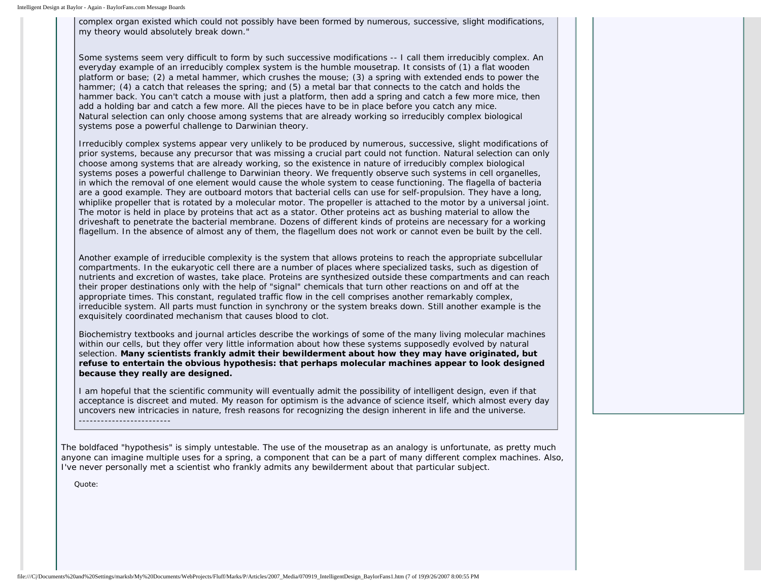complex organ existed which could not possibly have been formed by numerous, successive, slight modifications, my theory would absolutely break down."

Some systems seem very difficult to form by such successive modifications -- I call them irreducibly complex. An everyday example of an irreducibly complex system is the humble mousetrap. It consists of (1) a flat wooden platform or base; (2) a metal hammer, which crushes the mouse; (3) a spring with extended ends to power the hammer; (4) a catch that releases the spring; and (5) a metal bar that connects to the catch and holds the hammer back. You can't catch a mouse with just a platform, then add a spring and catch a few more mice, then add a holding bar and catch a few more. All the pieces have to be in place before you catch any mice. Natural selection can only choose among systems that are already working so irreducibly complex biological systems pose a powerful challenge to Darwinian theory.

Irreducibly complex systems appear very unlikely to be produced by numerous, successive, slight modifications of prior systems, because any precursor that was missing a crucial part could not function. Natural selection can only choose among systems that are already working, so the existence in nature of irreducibly complex biological systems poses a powerful challenge to Darwinian theory. We frequently observe such systems in cell organelles, in which the removal of one element would cause the whole system to cease functioning. The flagella of bacteria are a good example. They are outboard motors that bacterial cells can use for self-propulsion. They have a long, whiplike propeller that is rotated by a molecular motor. The propeller is attached to the motor by a universal joint. The motor is held in place by proteins that act as a stator. Other proteins act as bushing material to allow the driveshaft to penetrate the bacterial membrane. Dozens of different kinds of proteins are necessary for a working flagellum. In the absence of almost any of them, the flagellum does not work or cannot even be built by the cell.

Another example of irreducible complexity is the system that allows proteins to reach the appropriate subcellular compartments. In the eukaryotic cell there are a number of places where specialized tasks, such as digestion of nutrients and excretion of wastes, take place. Proteins are synthesized outside these compartments and can reach their proper destinations only with the help of "signal" chemicals that turn other reactions on and off at the appropriate times. This constant, regulated traffic flow in the cell comprises another remarkably complex, irreducible system. All parts must function in synchrony or the system breaks down. Still another example is the exquisitely coordinated mechanism that causes blood to clot.

Biochemistry textbooks and journal articles describe the workings of some of the many living molecular machines within our cells, but they offer very little information about how these systems supposedly evolved by natural selection. **Many scientists frankly admit their bewilderment about how they may have originated, but refuse to entertain the obvious hypothesis: that perhaps molecular machines appear to look designed because they really are designed.** 

I am hopeful that the scientific community will eventually admit the possibility of intelligent design, even if that acceptance is discreet and muted. My reason for optimism is the advance of science itself, which almost every day uncovers new intricacies in nature, fresh reasons for recognizing the design inherent in life and the universe. -------------------------

The boldfaced "hypothesis" is simply untestable. The use of the mousetrap as an analogy is unfortunate, as pretty much anyone can imagine multiple uses for a spring, a component that can be a part of many different complex machines. Also, I've never personally met a scientist who frankly admits any bewilderment about that particular subject.

Quote: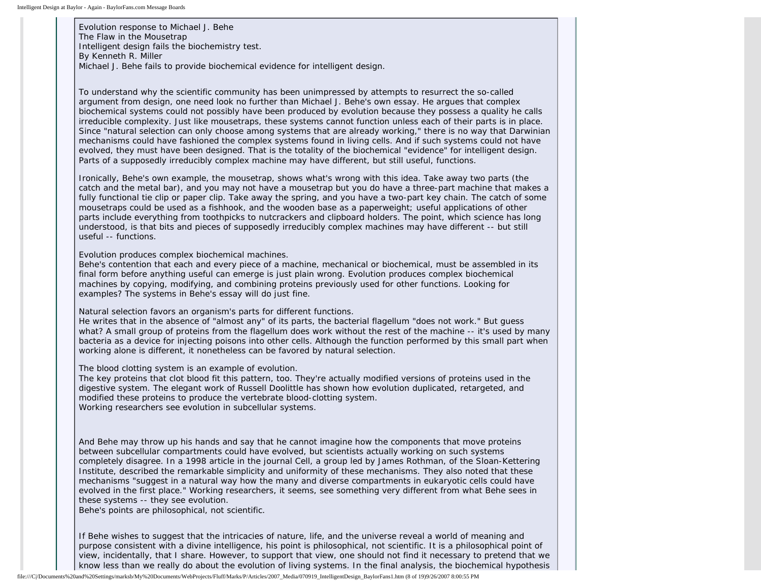Evolution response to Michael J. Behe The Flaw in the Mousetrap Intelligent design fails the biochemistry test. By Kenneth R. Miller Michael J. Behe fails to provide biochemical evidence for intelligent design.

To understand why the scientific community has been unimpressed by attempts to resurrect the so-called argument from design, one need look no further than Michael J. Behe's own essay. He argues that complex biochemical systems could not possibly have been produced by evolution because they possess a quality he calls irreducible complexity. Just like mousetraps, these systems cannot function unless each of their parts is in place. Since "natural selection can only choose among systems that are already working," there is no way that Darwinian mechanisms could have fashioned the complex systems found in living cells. And if such systems could not have evolved, they must have been designed. That is the totality of the biochemical "evidence" for intelligent design. Parts of a supposedly irreducibly complex machine may have different, but still useful, functions.

Ironically, Behe's own example, the mousetrap, shows what's wrong with this idea. Take away two parts (the catch and the metal bar), and you may not have a mousetrap but you do have a three-part machine that makes a fully functional tie clip or paper clip. Take away the spring, and you have a two-part key chain. The catch of some mousetraps could be used as a fishhook, and the wooden base as a paperweight; useful applications of other parts include everything from toothpicks to nutcrackers and clipboard holders. The point, which science has long understood, is that bits and pieces of supposedly irreducibly complex machines may have different -- but still useful -- functions.

Evolution produces complex biochemical machines.

Behe's contention that each and every piece of a machine, mechanical or biochemical, must be assembled in its final form before anything useful can emerge is just plain wrong. Evolution produces complex biochemical machines by copying, modifying, and combining proteins previously used for other functions. Looking for examples? The systems in Behe's essay will do just fine.

Natural selection favors an organism's parts for different functions.

He writes that in the absence of "almost any" of its parts, the bacterial flagellum "does not work." But guess what? A small group of proteins from the flagellum does work without the rest of the machine -- it's used by many bacteria as a device for injecting poisons into other cells. Although the function performed by this small part when working alone is different, it nonetheless can be favored by natural selection.

The blood clotting system is an example of evolution.

The key proteins that clot blood fit this pattern, too. They're actually modified versions of proteins used in the digestive system. The elegant work of Russell Doolittle has shown how evolution duplicated, retargeted, and modified these proteins to produce the vertebrate blood-clotting system. Working researchers see evolution in subcellular systems.

And Behe may throw up his hands and say that he cannot imagine how the components that move proteins between subcellular compartments could have evolved, but scientists actually working on such systems completely disagree. In a 1998 article in the journal Cell, a group led by James Rothman, of the Sloan-Kettering Institute, described the remarkable simplicity and uniformity of these mechanisms. They also noted that these mechanisms "suggest in a natural way how the many and diverse compartments in eukaryotic cells could have evolved in the first place." Working researchers, it seems, see something very different from what Behe sees in these systems -- they see evolution.

Behe's points are philosophical, not scientific.

If Behe wishes to suggest that the intricacies of nature, life, and the universe reveal a world of meaning and purpose consistent with a divine intelligence, his point is philosophical, not scientific. It is a philosophical point of view, incidentally, that I share. However, to support that view, one should not find it necessary to pretend that we know less than we really do about the evolution of living systems. In the final analysis, the biochemical hypothesis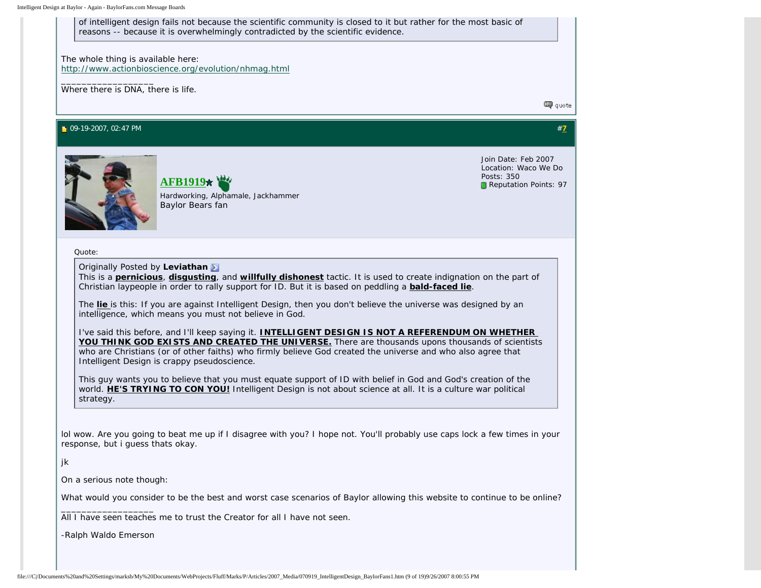of intelligent design fails not because the scientific community is closed to it but rather for the most basic of reasons -- because it is overwhelmingly contradicted by the scientific evidence.

The whole thing is available here: <http://www.actionbioscience.org/evolution/nhmag.html>

Where there is DNA, there is life.

**09-19-2007, 02:47 PM** 

\_\_\_\_\_\_\_\_\_\_\_\_\_\_\_\_\_\_



**[AFB1919](http://baylorfans.com/forums/member.php?u=13419)** Hardworking, Alphamale, Jackhammer Baylor Bears fan

Join Date: Feb 2007 Location: Waco We Do Posts: 350 **Reputation Points: 97** 

#**[7](http://baylorfans.com/forums/showpost.php?p=2195313&postcount=7)**

国 quote

Quote:

Originally Posted by **Leviathan**

*This is a pernicious, disgusting, and willfully dishonest tactic. It is used to create indignation on the part of Christian laypeople in order to rally support for ID. But it is based on peddling a bald-faced lie.* 

*The lie is this: If you are against Intelligent Design, then you don't believe the universe was designed by an intelligence, which means you must not believe in God.* 

*I've said this before, and I'll keep saying it. INTELLIGENT DESIGN IS NOT A REFERENDUM ON WHETHER YOU THINK GOD EXISTS AND CREATED THE UNIVERSE. There are thousands upons thousands of scientists who are Christians (or of other faiths) who firmly believe God created the universe and who also agree that Intelligent Design is crappy pseudoscience.* 

*This guy wants you to believe that you must equate support of ID with belief in God and God's creation of the world. HE'S TRYING TO CON YOU! Intelligent Design is not about science at all. It is a culture war political strategy.*

lol wow. Are you going to beat me up if I disagree with you? I hope not. You'll probably use caps lock a few times in your response, but i guess thats okay.

jk

On a serious note though:

What would you consider to be the best and worst case scenarios of Baylor allowing this website to continue to be online?

All I have seen teaches me to trust the Creator for all I have not seen.

-Ralph Waldo Emerson

 $\_$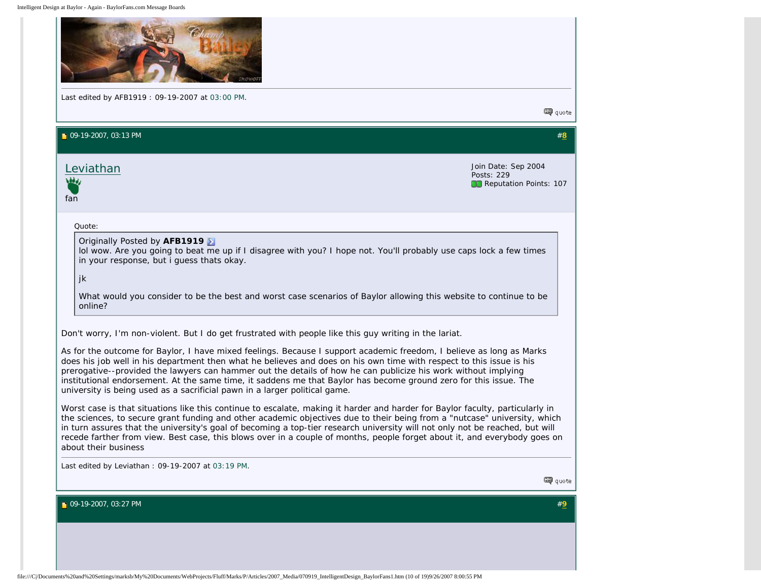Intelligent Design at Baylor - Again - BaylorFans.com Message Boards



Last edited by AFB1919 : 09-19-2007 at 03:00 PM.

国 quote

#**[8](http://baylorfans.com/forums/showpost.php?p=2195345&postcount=8)**

# **09-19-2007, 03:13 PM**

# [Leviathan](http://baylorfans.com/forums/member.php?u=7994)

Join Date: Sep 2004 Posts: 229 Reputation Points: 107

#### Quote:

fan

رتفا

Originally Posted by **AFB1919**

*lol wow. Are you going to beat me up if I disagree with you? I hope not. You'll probably use caps lock a few times in your response, but i guess thats okay.* 

*jk* 

*What would you consider to be the best and worst case scenarios of Baylor allowing this website to continue to be online?*

Don't worry, I'm non-violent. But I do get frustrated with people like this guy writing in the lariat.

As for the outcome for Baylor, I have mixed feelings. Because I support academic freedom, I believe as long as Marks does his job well in his department then what he believes and does on his own time with respect to this issue is his prerogative--provided the lawyers can hammer out the details of how he can publicize his work without implying institutional endorsement. At the same time, it saddens me that Baylor has become ground zero for this issue. The university is being used as a sacrificial pawn in a larger political game.

Worst case is that situations like this continue to escalate, making it harder and harder for Baylor faculty, particularly in the sciences, to secure grant funding and other academic objectives due to their being from a "nutcase" university, which in turn assures that the university's goal of becoming a top-tier research university will not only not be reached, but will recede farther from view. Best case, this blows over in a couple of months, people forget about it, and everybody goes on about their business

*Last edited by Leviathan : 09-19-2007 at 03:19 PM.* 

国 quote

#**[9](http://baylorfans.com/forums/showpost.php?p=2195364&postcount=9)**

# **09-19-2007, 03:27 PM**

file:///C|/Documents%20and%20Settings/marksb/My%20Documents/WebProjects/Fluff/Marks/P/Articles/2007\_Media/070919\_IntelligentDesign\_BaylorFans1.htm (10 of 19)9/26/2007 8:00:55 PM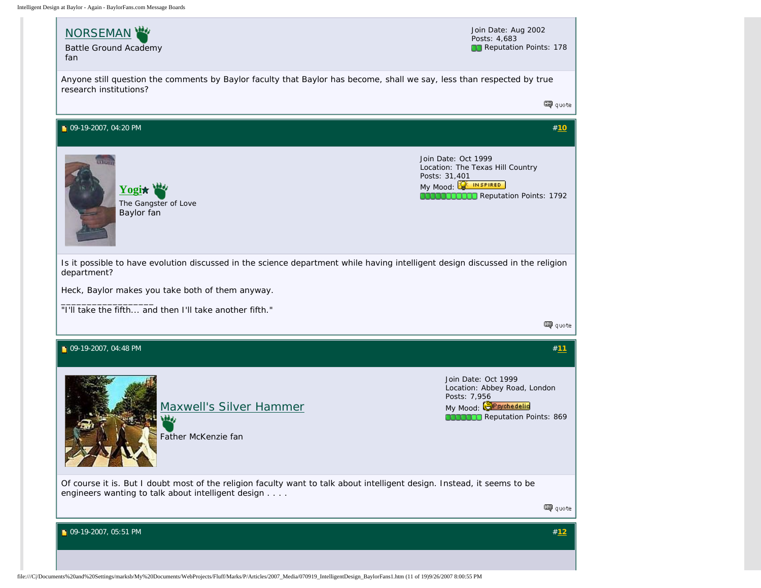

file:///C|/Documents%20and%20Settings/marksb/My%20Documents/WebProjects/Fluff/Marks/P/Articles/2007\_Media/070919\_IntelligentDesign\_BaylorFans1.htm (11 of 19)9/26/2007 8:00:55 PM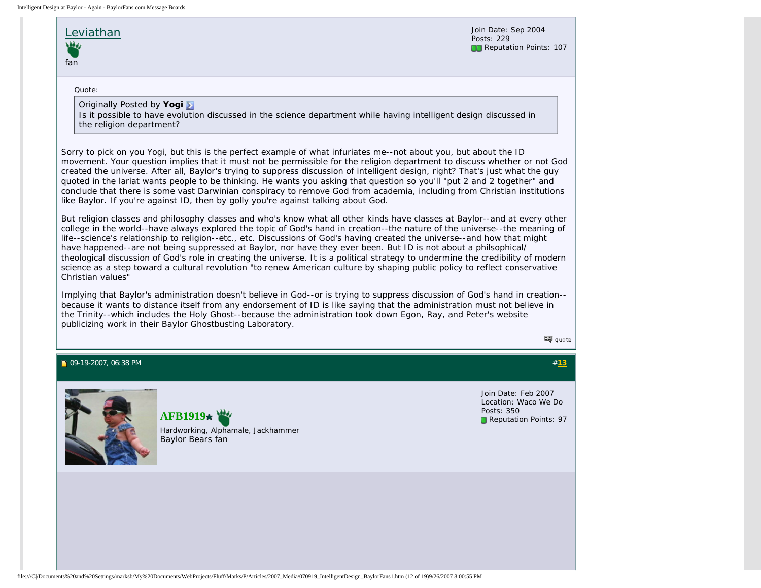Intelligent Design

| n at Baylor - Again - BaylorFans.com Message Boards                                                                                                                                                                                                                                                                                                                                                                                                                                                                                                                                                                                                                                                                                                                                                                                                                                                                                                                                                                                                                                                                                                                                                                                                                                                                                                                                                                                                                                                                                                                                                                                                                                                                                                                                                                                                                                                                                                                                                                                                                                                                                                                     |                                                                                    |
|-------------------------------------------------------------------------------------------------------------------------------------------------------------------------------------------------------------------------------------------------------------------------------------------------------------------------------------------------------------------------------------------------------------------------------------------------------------------------------------------------------------------------------------------------------------------------------------------------------------------------------------------------------------------------------------------------------------------------------------------------------------------------------------------------------------------------------------------------------------------------------------------------------------------------------------------------------------------------------------------------------------------------------------------------------------------------------------------------------------------------------------------------------------------------------------------------------------------------------------------------------------------------------------------------------------------------------------------------------------------------------------------------------------------------------------------------------------------------------------------------------------------------------------------------------------------------------------------------------------------------------------------------------------------------------------------------------------------------------------------------------------------------------------------------------------------------------------------------------------------------------------------------------------------------------------------------------------------------------------------------------------------------------------------------------------------------------------------------------------------------------------------------------------------------|------------------------------------------------------------------------------------|
| Leviathan<br>fan                                                                                                                                                                                                                                                                                                                                                                                                                                                                                                                                                                                                                                                                                                                                                                                                                                                                                                                                                                                                                                                                                                                                                                                                                                                                                                                                                                                                                                                                                                                                                                                                                                                                                                                                                                                                                                                                                                                                                                                                                                                                                                                                                        | Join Date: Sep 2004<br>Posts: 229<br>Reputation Points: 107                        |
| Quote:<br>Originally Posted by Yogi<br>Is it possible to have evolution discussed in the science department while having intelligent design discussed in<br>the religion department?<br>Sorry to pick on you Yogi, but this is the perfect example of what infuriates me--not about you, but about the ID<br>movement. Your question implies that it must not be permissible for the religion department to discuss whether or not God<br>created the universe. After all, Baylor's trying to suppress discussion of intelligent design, right? That's just what the guy<br>quoted in the lariat wants people to be thinking. He wants you asking that question so you'll "put 2 and 2 together" and<br>conclude that there is some vast Darwinian conspiracy to remove God from academia, including from Christian institutions<br>like Baylor. If you're against ID, then by golly you're against talking about God.<br>But religion classes and philosophy classes and who's know what all other kinds have classes at Baylor--and at every other<br>college in the world--have always explored the topic of God's hand in creation--the nature of the universe--the meaning of<br>life--science's relationship to religion--etc., etc. Discussions of God's having created the universe--and how that might<br>have happened--are not being suppressed at Baylor, nor have they ever been. But ID is not about a philsophical/<br>theological discussion of God's role in creating the universe. It is a political strategy to undermine the credibility of modern<br>science as a step toward a cultural revolution "to renew American culture by shaping public policy to reflect conservative<br>Christian values"<br>Implying that Baylor's administration doesn't believe in God--or is trying to suppress discussion of God's hand in creation--<br>because it wants to distance itself from any endorsement of ID is like saying that the administration must not believe in<br>the Trinity--which includes the Holy Ghost--because the administration took down Egon, Ray, and Peter's website<br>publicizing work in their Baylor Ghostbusting Laboratory. | 国 quote                                                                            |
| 09-19-2007, 06:38 PM                                                                                                                                                                                                                                                                                                                                                                                                                                                                                                                                                                                                                                                                                                                                                                                                                                                                                                                                                                                                                                                                                                                                                                                                                                                                                                                                                                                                                                                                                                                                                                                                                                                                                                                                                                                                                                                                                                                                                                                                                                                                                                                                                    | #13                                                                                |
| $AFB1919*$<br>Hardworking, Alphamale, Jackhammer<br>Baylor Bears fan                                                                                                                                                                                                                                                                                                                                                                                                                                                                                                                                                                                                                                                                                                                                                                                                                                                                                                                                                                                                                                                                                                                                                                                                                                                                                                                                                                                                                                                                                                                                                                                                                                                                                                                                                                                                                                                                                                                                                                                                                                                                                                    | Join Date: Feb 2007<br>Location: Waco We Do<br>Posts: 350<br>Reputation Points: 97 |
|                                                                                                                                                                                                                                                                                                                                                                                                                                                                                                                                                                                                                                                                                                                                                                                                                                                                                                                                                                                                                                                                                                                                                                                                                                                                                                                                                                                                                                                                                                                                                                                                                                                                                                                                                                                                                                                                                                                                                                                                                                                                                                                                                                         |                                                                                    |

file:///C|/Documents%20and%20Settings/marksb/My%20Documents/WebProjects/Fluff/Marks/P/Articles/2007\_Media/070919\_IntelligentDesign\_BaylorFans1.htm (12 of 19)9/26/2007 8:00:55 PM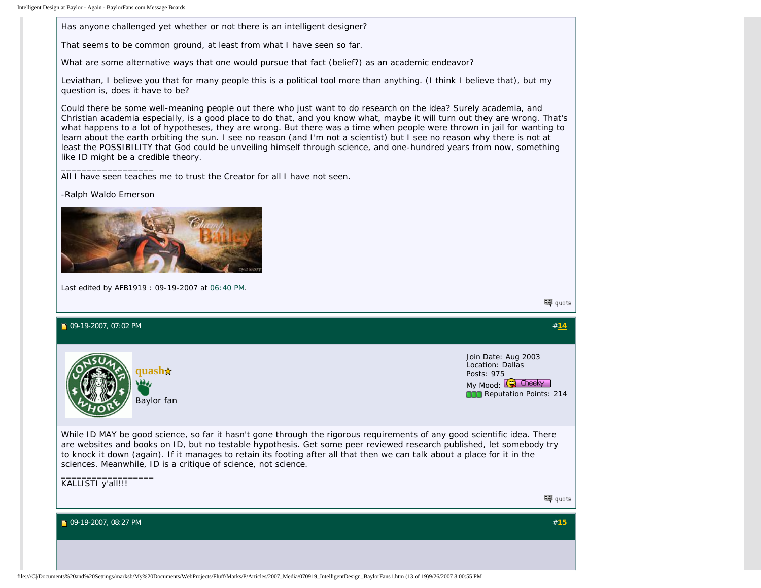Has anyone challenged yet whether or not there is an intelligent designer?

That seems to be common ground, at least from what I have seen so far.

What are some alternative ways that one would pursue that fact (belief?) as an academic endeavor?

Leviathan, I believe you that for many people this is a political tool more than anything. (I think I believe that), but my question is, does it have to be?

Could there be some well-meaning people out there who just want to do research on the idea? Surely academia, and Christian academia especially, is a good place to do that, and you know what, maybe it will turn out they are wrong. That's what happens to a lot of hypotheses, they are wrong. But there was a time when people were thrown in jail for wanting to learn about the earth orbiting the sun. I see no reason (and I'm not a scientist) but I see no reason why there is not at least the POSSIBILITY that God could be unveiling himself through science, and one-hundred years from now, something like ID might be a credible theory.

All I have seen teaches me to trust the Creator for all I have not seen.

-Ralph Waldo Emerson

 $\_$ 



*Last edited by AFB1919 : 09-19-2007 at 06:40 PM.* 



国 quote

file:///C|/Documents%20and%20Settings/marksb/My%20Documents/WebProjects/Fluff/Marks/P/Articles/2007\_Media/070919\_IntelligentDesign\_BaylorFans1.htm (13 of 19)9/26/2007 8:00:55 PM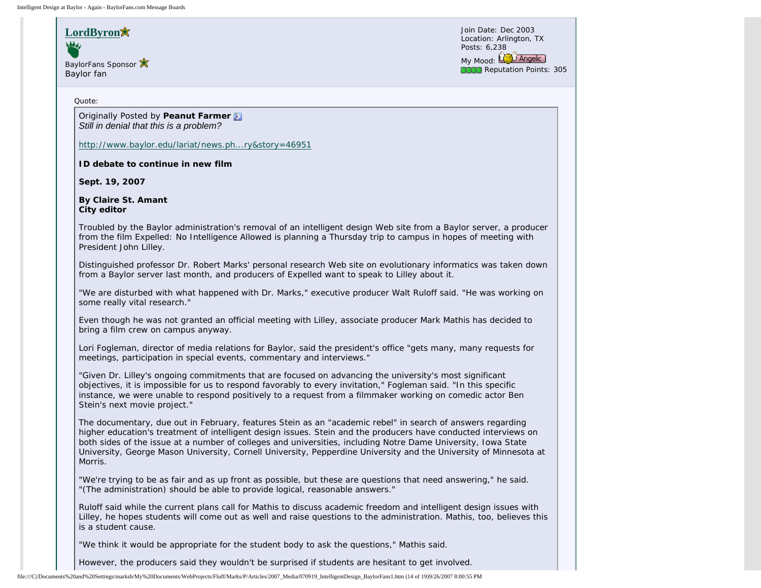# **[LordByron](http://baylorfans.com/forums/member.php?u=6767)** رفقه BaylorFans Sponsor Baylor fan Quote: Originally Posted by **Peanut Farmer** *Still in denial that this is a problem?*

*[http://www.baylor.edu/lariat/news.ph...ry&story=46951](http://www.baylor.edu/lariat/news.php?action=story&story=46951)*

*ID debate to continue in new film*

*Sept. 19, 2007* 

*By Claire St. Amant City editor*

*Troubled by the Baylor administration's removal of an intelligent design Web site from a Baylor server, a producer from the film Expelled: No Intelligence Allowed is planning a Thursday trip to campus in hopes of meeting with President John Lilley.* 

Join Date: Dec 2003 Location: Arlington, TX

My Mood: **CO**J Angelic **BOOD** Reputation Points: 305

Posts: 6,238

*Distinguished professor Dr. Robert Marks' personal research Web site on evolutionary informatics was taken down from a Baylor server last month, and producers of Expelled want to speak to Lilley about it.* 

*"We are disturbed with what happened with Dr. Marks," executive producer Walt Ruloff said. "He was working on some really vital research."* 

*Even though he was not granted an official meeting with Lilley, associate producer Mark Mathis has decided to bring a film crew on campus anyway.* 

*Lori Fogleman, director of media relations for Baylor, said the president's office "gets many, many requests for meetings, participation in special events, commentary and interviews."* 

*"Given Dr. Lilley's ongoing commitments that are focused on advancing the university's most significant objectives, it is impossible for us to respond favorably to every invitation," Fogleman said. "In this specific instance, we were unable to respond positively to a request from a filmmaker working on comedic actor Ben Stein's next movie project."* 

*The documentary, due out in February, features Stein as an "academic rebel" in search of answers regarding higher education's treatment of intelligent design issues. Stein and the producers have conducted interviews on both sides of the issue at a number of colleges and universities, including Notre Dame University, Iowa State University, George Mason University, Cornell University, Pepperdine University and the University of Minnesota at Morris.* 

*"We're trying to be as fair and as up front as possible, but these are questions that need answering," he said. "(The administration) should be able to provide logical, reasonable answers."* 

*Ruloff said while the current plans call for Mathis to discuss academic freedom and intelligent design issues with Lilley, he hopes students will come out as well and raise questions to the administration. Mathis, too, believes this is a student cause.* 

*"We think it would be appropriate for the student body to ask the questions," Mathis said.* 

*However, the producers said they wouldn't be surprised if students are hesitant to get involved.*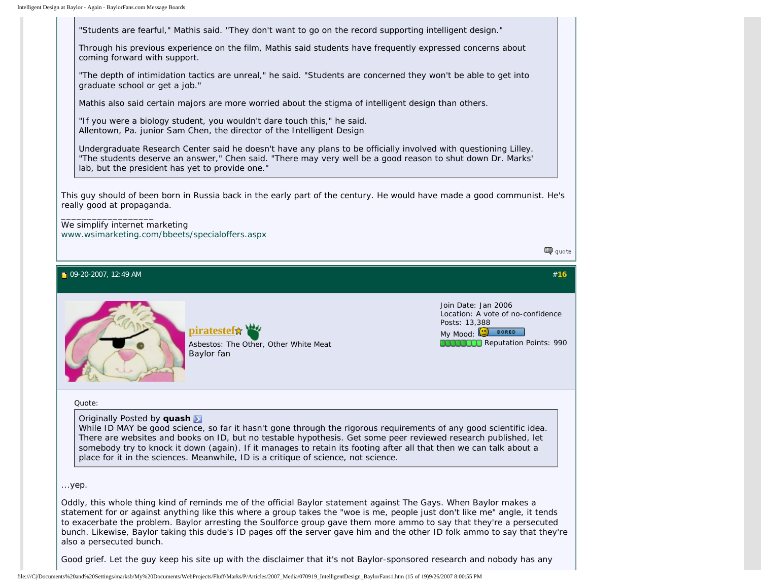$\_$ 

*"Students are fearful," Mathis said. "They don't want to go on the record supporting intelligent design."* 

*Through his previous experience on the film, Mathis said students have frequently expressed concerns about coming forward with support.* 

*"The depth of intimidation tactics are unreal," he said. "Students are concerned they won't be able to get into graduate school or get a job."* 

*Mathis also said certain majors are more worried about the stigma of intelligent design than others.* 

*"If you were a biology student, you wouldn't dare touch this," he said. Allentown, Pa. junior Sam Chen, the director of the Intelligent Design* 

*Undergraduate Research Center said he doesn't have any plans to be officially involved with questioning Lilley. "The students deserve an answer," Chen said. "There may very well be a good reason to shut down Dr. Marks' lab, but the president has yet to provide one."*

This guy should of been born in Russia back in the early part of the century. He would have made a good communist. He's really good at propaganda.

# We simplify internet marketing [www.wsimarketing.com/bbeets/specialoffers.aspx](http://www.wsimarketing.com/bbeets/specialoffers.aspx)

### 国 quote



Good grief. Let the guy keep his site up with the disclaimer that it's not Baylor-sponsored research and nobody has any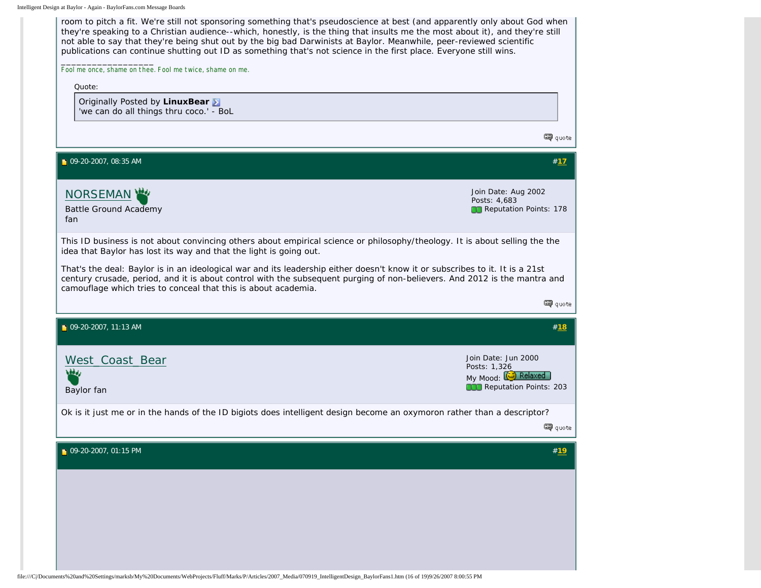room to pitch a fit. We're still not sponsoring something that's pseudoscience at best (and apparently only about God when they're speaking to a Christian audience--which, honestly, is the thing that insults me the most about it), and they're still not able to say that they're being shut out by the big bad Darwinists at Baylor. Meanwhile, peer-reviewed scientific publications can continue shutting out ID as something that's not science in the first place. Everyone still wins. \_\_\_\_\_\_\_\_\_\_\_\_\_\_\_\_\_\_ Fool me once, shame on thee. Fool me twice, shame on me. Quote: Originally Posted by **LinuxBear** *'we can do all things thru coco.' - BoL* 国 quote **09-20-2007, 08:35 AM**  #**[17](http://baylorfans.com/forums/showpost.php?p=2196127&postcount=17)** [NORSEMAN](http://baylorfans.com/forums/member.php?u=3515) Join Date: Aug 2002 Posts: 4,683 Battle Ground Academy **Reputation Points: 178** fan This ID business is not about convincing others about empirical science or philosophy/theology. It is about selling the the idea that Baylor has lost its way and that the light is going out. That's the deal: Baylor is in an ideological war and its leadership either doesn't know it or subscribes to it. It is a 21st century crusade, period, and it is about control with the subsequent purging of non-believers. And 2012 is the mantra and camouflage which tries to conceal that this is about academia. 国 quote ■ 09-20-2007, 11:13 AM #**[18](http://baylorfans.com/forums/showpost.php?p=2196370&postcount=18)** Join Date: Jun 2000 West Coast Bear Posts: 1,326 Wo. My Mood: رَبِّ) Relaxed **CCC** Reputation Points: 203 Baylor fan Ok is it just me or in the hands of the ID bigiots does intelligent design become an oxymoron rather than a descriptor? 国 quote **09-20-2007, 01:15 PM** #**[19](http://baylorfans.com/forums/showpost.php?p=2196550&postcount=19)**

file:///C|/Documents%20and%20Settings/marksb/My%20Documents/WebProjects/Fluff/Marks/P/Articles/2007\_Media/070919\_IntelligentDesign\_BaylorFans1.htm (16 of 19)9/26/2007 8:00:55 PM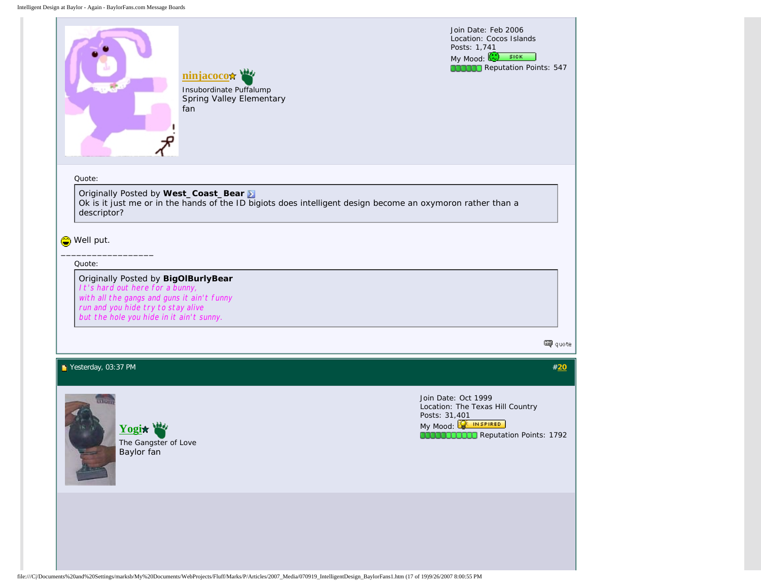Intelligent Design at Baylor - Again - BaylorFans.com Message Boards



file:///C|/Documents%20and%20Settings/marksb/My%20Documents/WebProjects/Fluff/Marks/P/Articles/2007\_Media/070919\_IntelligentDesign\_BaylorFans1.htm (17 of 19)9/26/2007 8:00:55 PM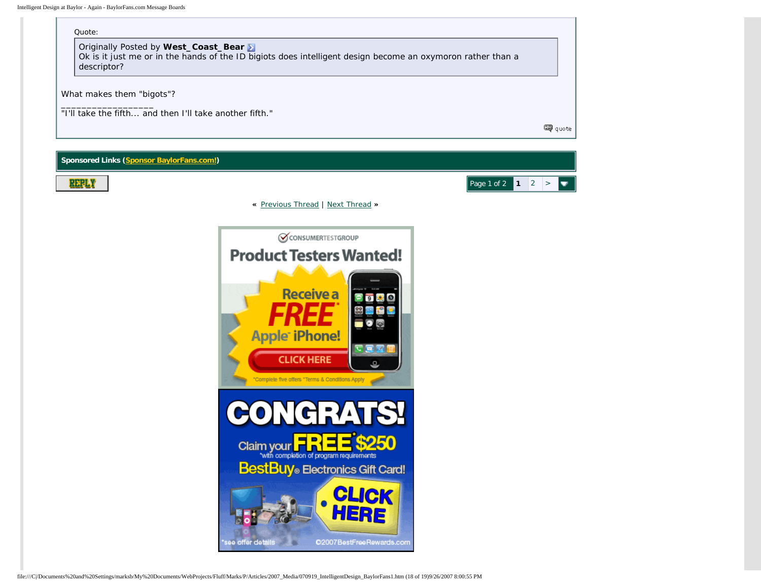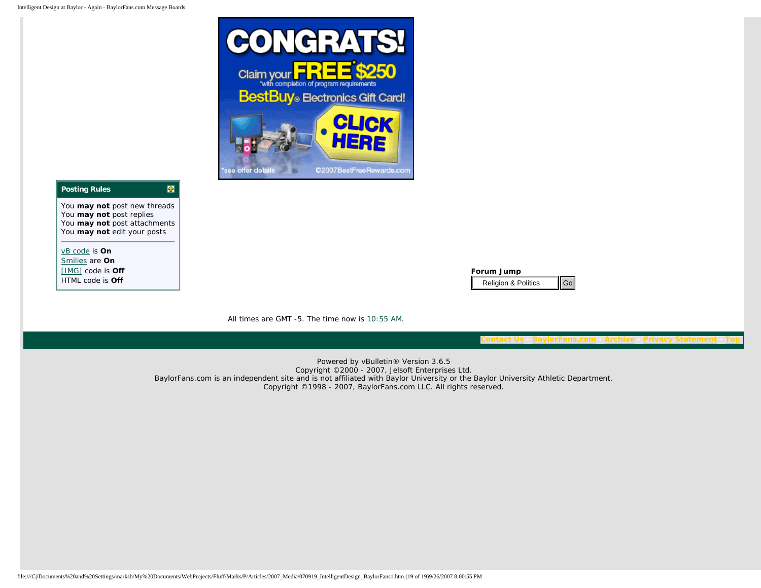

# **Posting Rules**

You **may not** post new threads You **may not** post replies You **may not** post attachments You **may not** edit your posts

 $\bullet$ 

[vB code](http://baylorfans.com/forums/misc.php?do=bbcode) is **On** [Smilies](http://baylorfans.com/forums/misc.php?do=showsmilies) are **On** [\[IMG\]](http://baylorfans.com/forums/misc.php?do=bbcode#imgcode) code is **Off** HTML code is **Off**

**Forum Jump** Religion & Politics  $\|\mathsf{Go}\|$ 

All times are GMT -5. The time now is 10:55 AM.

**[Contact Us](mailto:Administrator@BaylorFans.com) - [BaylorFans.com](http://www.baylorfans.com/) - [Archive](http://baylorfans.com/forums/archive/index.php) - [Privacy Statement](http://www.baylorfans.com/privacy_policy.php) - [Top](#page-0-0)**

Powered by vBulletin® Version 3.6.5 Copyright ©2000 - 2007, Jelsoft Enterprises Ltd. BaylorFans.com is an independent site and is not affiliated with Baylor University or the Baylor University Athletic Department. Copyright ©1998 - 2007, BaylorFans.com LLC. All rights reserved.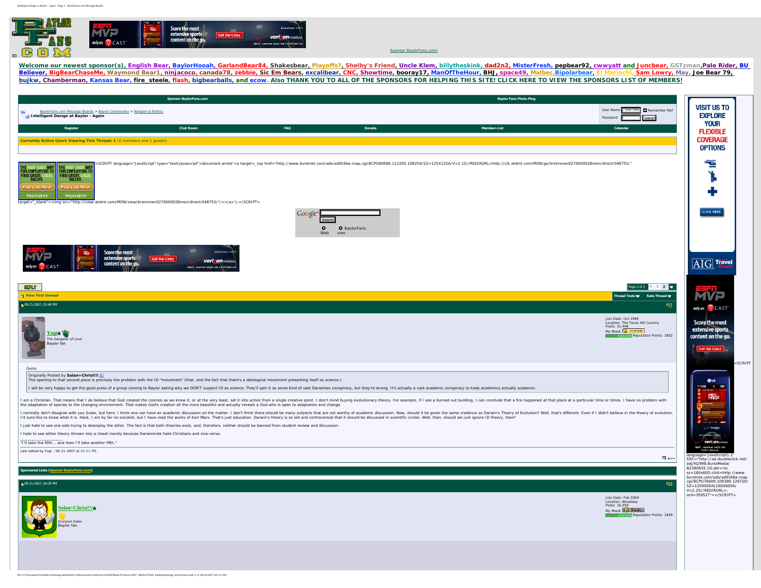<span id="page-19-1"></span>

[Sponsor BaylorFans.com!](http://baylorfans.com/sponsor.php)

[Welcome our newest sponsor\(s\), English Bear, BaylorHooah, GarlandBear84, Shakesbear, Playoffs?, Shelby's Friend, Uncle Klem, billytheskink,](http://www.baylorfans.com/forums/showgroups.php) <mark>dad2n2, MisterFresh, pepbear92, cwwyatt and Juncbear,</mark> GSTzman,Pale Rider, BU<br><mark>Be</mark>

<span id="page-19-0"></span>

|                                                                                                                                                                                                                                                                                                                | Sponsor BaylorFans.com |            |        | <b>Baylor Fans Photo Plog</b>                                                                                                                                                                                                                                                                                                                                                                                                                                                                                                                                                                                                                                                                                                                                                                                                                                                                                                                                                                                                                                                                                                                                                                                                                                                                                                                                                                                                                                                                                                                                                                                                                                                                                                                                                                                                                                                                                                                                                                                                                                                                                                                                                                                                                                                                                                                                                                                                                                                                                                                                                                                                                                                                                                                                                                                                                                                                                                                                                                                                                                                                                             |                                                                                                             |                                                                                        |  |  |                                        |
|----------------------------------------------------------------------------------------------------------------------------------------------------------------------------------------------------------------------------------------------------------------------------------------------------------------|------------------------|------------|--------|---------------------------------------------------------------------------------------------------------------------------------------------------------------------------------------------------------------------------------------------------------------------------------------------------------------------------------------------------------------------------------------------------------------------------------------------------------------------------------------------------------------------------------------------------------------------------------------------------------------------------------------------------------------------------------------------------------------------------------------------------------------------------------------------------------------------------------------------------------------------------------------------------------------------------------------------------------------------------------------------------------------------------------------------------------------------------------------------------------------------------------------------------------------------------------------------------------------------------------------------------------------------------------------------------------------------------------------------------------------------------------------------------------------------------------------------------------------------------------------------------------------------------------------------------------------------------------------------------------------------------------------------------------------------------------------------------------------------------------------------------------------------------------------------------------------------------------------------------------------------------------------------------------------------------------------------------------------------------------------------------------------------------------------------------------------------------------------------------------------------------------------------------------------------------------------------------------------------------------------------------------------------------------------------------------------------------------------------------------------------------------------------------------------------------------------------------------------------------------------------------------------------------------------------------------------------------------------------------------------------------------------------------------------------------------------------------------------------------------------------------------------------------------------------------------------------------------------------------------------------------------------------------------------------------------------------------------------------------------------------------------------------------------------------------------------------------------------------------------------------------|-------------------------------------------------------------------------------------------------------------|----------------------------------------------------------------------------------------|--|--|----------------------------------------|
| BaylorFans.com Message Boards > Baylor Community > Religion & Politics<br>Intelligent Design at Baylor - Again                                                                                                                                                                                                 |                        |            |        |                                                                                                                                                                                                                                                                                                                                                                                                                                                                                                                                                                                                                                                                                                                                                                                                                                                                                                                                                                                                                                                                                                                                                                                                                                                                                                                                                                                                                                                                                                                                                                                                                                                                                                                                                                                                                                                                                                                                                                                                                                                                                                                                                                                                                                                                                                                                                                                                                                                                                                                                                                                                                                                                                                                                                                                                                                                                                                                                                                                                                                                                                                                           | User Name User Name Remember Me?<br>Password<br>Log in                                                      | <b>VISIT US TO</b><br><b>EXPLORE</b><br><b>YOUR</b>                                    |  |  |                                        |
| Register                                                                                                                                                                                                                                                                                                       | <b>Chat Room</b>       | <b>FAQ</b> | Donate | <b>Members List</b>                                                                                                                                                                                                                                                                                                                                                                                                                                                                                                                                                                                                                                                                                                                                                                                                                                                                                                                                                                                                                                                                                                                                                                                                                                                                                                                                                                                                                                                                                                                                                                                                                                                                                                                                                                                                                                                                                                                                                                                                                                                                                                                                                                                                                                                                                                                                                                                                                                                                                                                                                                                                                                                                                                                                                                                                                                                                                                                                                                                                                                                                                                       | Calenda                                                                                                     | <b>FLEXIBLE</b>                                                                        |  |  |                                        |
| Currently Active Users Viewing This Thread: 1 (0 members and 1 guests)                                                                                                                                                                                                                                         |                        |            |        |                                                                                                                                                                                                                                                                                                                                                                                                                                                                                                                                                                                                                                                                                                                                                                                                                                                                                                                                                                                                                                                                                                                                                                                                                                                                                                                                                                                                                                                                                                                                                                                                                                                                                                                                                                                                                                                                                                                                                                                                                                                                                                                                                                                                                                                                                                                                                                                                                                                                                                                                                                                                                                                                                                                                                                                                                                                                                                                                                                                                                                                                                                                           |                                                                                                             | <b>COVERAGE</b><br><b>OPTIONS</b>                                                      |  |  |                                        |
| THE FAST, EASY WAY<br>FOR EMPLOYERS TO<br>FIND GREAT, LOCAL<br>TALENT.<br>THE FAST, EASY WAY<br>FOR EMPLOYERS TO<br>FIND GREAT, LOCAL<br>TALENT.<br>ost a Job N<br>ost a Job No<br>monster<br>monster<br>target="_blank"> <img src="http://view.atdmt.com/MON/view/brstmmec0270000028mon/direct/048755/"/> '); |                        |            |        | :SCRIPT language="JavaScript" type="text/javascript">document.write(' <a (that,="" a="" and="" as="" fact="" href="http://www.burstnet.com/ads/ad9166a-map.cgl/BCPG80686.112200.108254/SZ=125X125A/V=2.1S//REDIRURL=http://clk.atdmt.com/MON/go/brstmme&lt;/td&gt;&lt;td&gt;&lt;/td&gt;&lt;td&gt;न्≖&lt;br&gt;ŧ&lt;/td&gt;&lt;/tr&gt;&lt;tr&gt;&lt;td&gt;Score the most&lt;/td&gt;&lt;td&gt;&lt;/td&gt;&lt;td&gt;&lt;b&gt;Google&lt;/b&gt;&lt;/td&gt;&lt;td&gt;Search&lt;br&gt;&lt;math&gt;\circ&lt;/math&gt;&lt;br&gt;O BaylorFans.&lt;br&gt;Web&lt;br&gt;com&lt;/td&gt;&lt;td&gt;&lt;/td&gt;&lt;td&gt;&lt;/td&gt;&lt;td&gt;&lt;b&gt;CLICK HERE&lt;/b&gt;&lt;/td&gt;&lt;/tr&gt;&lt;tr&gt;&lt;td&gt;extensive sports&lt;br&gt;content on the go.&lt;br&gt;CAST&lt;/td&gt;&lt;td&gt;Get the Glory&lt;br&gt;&lt;b&gt;veri&lt;/b&gt; onwin&lt;br&gt;ROD'L CHARGES REG'D FOR L&lt;/td&gt;&lt;td&gt;&lt;/td&gt;&lt;td&gt;&lt;/td&gt;&lt;td&gt;&lt;/td&gt;&lt;td&gt;&lt;/td&gt;&lt;td&gt;&lt;math&gt;\overline{\text{AIG}}&lt;/math&gt; Travel&lt;/td&gt;&lt;/tr&gt;&lt;tr&gt;&lt;td&gt;&lt;b&gt;BEARLY&lt;/b&gt;&lt;/td&gt;&lt;td&gt;&lt;/td&gt;&lt;td&gt;&lt;/td&gt;&lt;td&gt;&lt;/td&gt;&lt;td&gt;&lt;/td&gt;&lt;td&gt;Page 2 of 2 &lt;math&gt;\leq&lt;/math&gt; 1 2 &lt;math&gt;\blacktriangledown&lt;/math&gt;&lt;/td&gt;&lt;td&gt;&lt;/td&gt;&lt;/tr&gt;&lt;tr&gt;&lt;td&gt;&lt;b&gt;1 View First Unread&lt;/b&gt;&lt;/td&gt;&lt;td&gt;&lt;/td&gt;&lt;td&gt;&lt;/td&gt;&lt;td&gt;&lt;/td&gt;&lt;td&gt;&lt;/td&gt;&lt;td&gt;Thread Tools &lt;b&gt;w&lt;/b&gt; Rate Thread w&lt;/td&gt;&lt;td&gt;&lt;/td&gt;&lt;/tr&gt;&lt;tr&gt;&lt;td&gt;09-21-2007, 03:48 PM&lt;/td&gt;&lt;td&gt;&lt;/td&gt;&lt;td&gt;&lt;/td&gt;&lt;td&gt;&lt;/td&gt;&lt;td&gt;&lt;/td&gt;&lt;td&gt;#21&lt;/td&gt;&lt;td&gt;only on CAST&lt;/td&gt;&lt;/tr&gt;&lt;tr&gt;&lt;td&gt;&lt;math&gt;\frac{V_{\text{O}}}{V_{\text{O}}}\approx 1&lt;/math&gt;&lt;br&gt;The Gangster of Love&lt;br&gt;Baylor fan&lt;/td&gt;&lt;td&gt;&lt;/td&gt;&lt;td&gt;&lt;/td&gt;&lt;td&gt;&lt;/td&gt;&lt;td&gt;&lt;/td&gt;&lt;td&gt;Join Date: Oct 1999&lt;br&gt;Location: The Texas Hill Country&lt;br&gt;Posts: 31,446&lt;br&gt;My Mood: NSPIRED&lt;br&gt;Reputation Points: 1802&lt;/td&gt;&lt;td&gt;Score the most&lt;br&gt;extensive sports&lt;br&gt;content on the go.&lt;br&gt;Get the Glory&lt;/td&gt;&lt;/tr&gt;&lt;tr&gt;&lt;td&gt;&lt;/td&gt;&lt;td&gt;&lt;/td&gt;&lt;td&gt;&lt;/td&gt;&lt;td&gt;&lt;/td&gt;&lt;td&gt;&lt;/td&gt;&lt;td&gt;&lt;/td&gt;&lt;td&gt;&lt;SCRIPT&lt;/td&gt;&lt;/tr&gt;&lt;tr&gt;&lt;td&gt;Quote:&lt;br&gt;Originally Posted by Solan=Christ!!!&lt;/td&gt;&lt;td&gt;&lt;/td&gt;&lt;td&gt;&lt;/td&gt;&lt;td&gt;&lt;/td&gt;&lt;td&gt;&lt;/td&gt;&lt;td&gt;&lt;/td&gt;&lt;td&gt;&lt;/td&gt;&lt;/tr&gt;&lt;tr&gt;&lt;td&gt;&lt;/td&gt;&lt;td&gt;The opening to that second piece is precisely the problem with the ID " ideological="" itself="" movement="" movement"="" presenting="" science.)<="" target="_top" td="" that="" the="" there's=""><td></td><td></td><td></td><td></td><td>Q<sub>LG</sub><br/><b>TISHID AND A</b></td></a> |                                                                                                             |                                                                                        |  |  | Q <sub>LG</sub><br><b>TISHID AND A</b> |
|                                                                                                                                                                                                                                                                                                                |                        |            |        | I will be very happy to get the good press of a group coming to Baylor asking why we DON'T support ID as science. They'll spin it as some kind of vast Darwinian conspiracy, but they're wrong. It's actually a vast academic                                                                                                                                                                                                                                                                                                                                                                                                                                                                                                                                                                                                                                                                                                                                                                                                                                                                                                                                                                                                                                                                                                                                                                                                                                                                                                                                                                                                                                                                                                                                                                                                                                                                                                                                                                                                                                                                                                                                                                                                                                                                                                                                                                                                                                                                                                                                                                                                                                                                                                                                                                                                                                                                                                                                                                                                                                                                                             |                                                                                                             | <b>NV<sub>P</sub></b>                                                                  |  |  |                                        |
| the adaptation of species to the changing environment. That makes God's creation all the more beautiful and actually reveals a God who is open to adaptation and change.                                                                                                                                       |                        |            |        | I am a Christian. That means that I do believe that God created the cosmos as we know it, or at the very least, set it into action from a single creative point. I don't mind buying evolutionary theory. For example, if I se                                                                                                                                                                                                                                                                                                                                                                                                                                                                                                                                                                                                                                                                                                                                                                                                                                                                                                                                                                                                                                                                                                                                                                                                                                                                                                                                                                                                                                                                                                                                                                                                                                                                                                                                                                                                                                                                                                                                                                                                                                                                                                                                                                                                                                                                                                                                                                                                                                                                                                                                                                                                                                                                                                                                                                                                                                                                                            |                                                                                                             |                                                                                        |  |  |                                        |
| I'd sure like to know what it is. Heck, I am by far no socialist, but I have read the works of Karl Marx. That's just education. Darwin's theory is so old and controversial that it should be discussed in scientific circles                                                                                 |                        |            |        | I normally don't disagree with you Solan, but here, I think one can have an academic discussion on the matter. I don't think there should be many subjects that are not worthy of academic discussion. Now, should it be given                                                                                                                                                                                                                                                                                                                                                                                                                                                                                                                                                                                                                                                                                                                                                                                                                                                                                                                                                                                                                                                                                                                                                                                                                                                                                                                                                                                                                                                                                                                                                                                                                                                                                                                                                                                                                                                                                                                                                                                                                                                                                                                                                                                                                                                                                                                                                                                                                                                                                                                                                                                                                                                                                                                                                                                                                                                                                            |                                                                                                             |                                                                                        |  |  |                                        |
| I just hate to see one side trying to downplay the other. The fact is that both theories exist, and, therefore, neither should be banned from student review and discussion.                                                                                                                                   |                        |            |        |                                                                                                                                                                                                                                                                                                                                                                                                                                                                                                                                                                                                                                                                                                                                                                                                                                                                                                                                                                                                                                                                                                                                                                                                                                                                                                                                                                                                                                                                                                                                                                                                                                                                                                                                                                                                                                                                                                                                                                                                                                                                                                                                                                                                                                                                                                                                                                                                                                                                                                                                                                                                                                                                                                                                                                                                                                                                                                                                                                                                                                                                                                                           |                                                                                                             | $ $ vertron                                                                            |  |  |                                        |
| I hate to see either theory thrown into a closet merely because Darwininsts hate Christians and vice-versa.                                                                                                                                                                                                    |                        |            |        |                                                                                                                                                                                                                                                                                                                                                                                                                                                                                                                                                                                                                                                                                                                                                                                                                                                                                                                                                                                                                                                                                                                                                                                                                                                                                                                                                                                                                                                                                                                                                                                                                                                                                                                                                                                                                                                                                                                                                                                                                                                                                                                                                                                                                                                                                                                                                                                                                                                                                                                                                                                                                                                                                                                                                                                                                                                                                                                                                                                                                                                                                                                           |                                                                                                             | <b>SIVELY REC</b><br>veri o                                                            |  |  |                                        |
| "I'll take the fifth and then I'll take another fifth."<br>Last edited by Yogi: 09-21-2007 at 03:51 PM.                                                                                                                                                                                                        |                        |            |        |                                                                                                                                                                                                                                                                                                                                                                                                                                                                                                                                                                                                                                                                                                                                                                                                                                                                                                                                                                                                                                                                                                                                                                                                                                                                                                                                                                                                                                                                                                                                                                                                                                                                                                                                                                                                                                                                                                                                                                                                                                                                                                                                                                                                                                                                                                                                                                                                                                                                                                                                                                                                                                                                                                                                                                                                                                                                                                                                                                                                                                                                                                                           |                                                                                                             | <b>UCAST SERUX</b>                                                                     |  |  |                                        |
|                                                                                                                                                                                                                                                                                                                |                        |            |        |                                                                                                                                                                                                                                                                                                                                                                                                                                                                                                                                                                                                                                                                                                                                                                                                                                                                                                                                                                                                                                                                                                                                                                                                                                                                                                                                                                                                                                                                                                                                                                                                                                                                                                                                                                                                                                                                                                                                                                                                                                                                                                                                                                                                                                                                                                                                                                                                                                                                                                                                                                                                                                                                                                                                                                                                                                                                                                                                                                                                                                                                                                                           | <b>Eig</b> quote                                                                                            | nguage='JavaScrij<br>SRC="http://ad.doubleclick.net/                                   |  |  |                                        |
| Sponsored Links (Sponsor BaylorFans.com!)                                                                                                                                                                                                                                                                      |                        |            |        |                                                                                                                                                                                                                                                                                                                                                                                                                                                                                                                                                                                                                                                                                                                                                                                                                                                                                                                                                                                                                                                                                                                                                                                                                                                                                                                                                                                                                                                                                                                                                                                                                                                                                                                                                                                                                                                                                                                                                                                                                                                                                                                                                                                                                                                                                                                                                                                                                                                                                                                                                                                                                                                                                                                                                                                                                                                                                                                                                                                                                                                                                                                           |                                                                                                             | adj/N2998.BurstMedia/<br>B2280635.10; abr =!ie;<br>sz=160x600; click=http://www.       |  |  |                                        |
| 09-21-2007, 04:09 PM                                                                                                                                                                                                                                                                                           |                        |            |        |                                                                                                                                                                                                                                                                                                                                                                                                                                                                                                                                                                                                                                                                                                                                                                                                                                                                                                                                                                                                                                                                                                                                                                                                                                                                                                                                                                                                                                                                                                                                                                                                                                                                                                                                                                                                                                                                                                                                                                                                                                                                                                                                                                                                                                                                                                                                                                                                                                                                                                                                                                                                                                                                                                                                                                                                                                                                                                                                                                                                                                                                                                                           | #22                                                                                                         | burstnet.com/ads/ad9166a-map.<br>cgi/BCPG78409.109389.126720/<br>SZ=120X600A 160X600A/ |  |  |                                        |
|                                                                                                                                                                                                                                                                                                                |                        |            |        |                                                                                                                                                                                                                                                                                                                                                                                                                                                                                                                                                                                                                                                                                                                                                                                                                                                                                                                                                                                                                                                                                                                                                                                                                                                                                                                                                                                                                                                                                                                                                                                                                                                                                                                                                                                                                                                                                                                                                                                                                                                                                                                                                                                                                                                                                                                                                                                                                                                                                                                                                                                                                                                                                                                                                                                                                                                                                                                                                                                                                                                                                                                           |                                                                                                             | $V = 2.2S//REDIRURL =$<br>ord=35952?">                                                 |  |  |                                        |
| Solan=Christ!!!*<br>Scorpion Eater<br>Baylor fan                                                                                                                                                                                                                                                               |                        |            |        |                                                                                                                                                                                                                                                                                                                                                                                                                                                                                                                                                                                                                                                                                                                                                                                                                                                                                                                                                                                                                                                                                                                                                                                                                                                                                                                                                                                                                                                                                                                                                                                                                                                                                                                                                                                                                                                                                                                                                                                                                                                                                                                                                                                                                                                                                                                                                                                                                                                                                                                                                                                                                                                                                                                                                                                                                                                                                                                                                                                                                                                                                                                           | Join Date: Feb 2004<br>Location: Woodway<br>Posts: 16.059<br>My Mood: (4) Sneaky<br>Reputation Points: 1849 |                                                                                        |  |  |                                        |
|                                                                                                                                                                                                                                                                                                                |                        |            |        |                                                                                                                                                                                                                                                                                                                                                                                                                                                                                                                                                                                                                                                                                                                                                                                                                                                                                                                                                                                                                                                                                                                                                                                                                                                                                                                                                                                                                                                                                                                                                                                                                                                                                                                                                                                                                                                                                                                                                                                                                                                                                                                                                                                                                                                                                                                                                                                                                                                                                                                                                                                                                                                                                                                                                                                                                                                                                                                                                                                                                                                                                                                           |                                                                                                             |                                                                                        |  |  |                                        |
|                                                                                                                                                                                                                                                                                                                |                        |            |        |                                                                                                                                                                                                                                                                                                                                                                                                                                                                                                                                                                                                                                                                                                                                                                                                                                                                                                                                                                                                                                                                                                                                                                                                                                                                                                                                                                                                                                                                                                                                                                                                                                                                                                                                                                                                                                                                                                                                                                                                                                                                                                                                                                                                                                                                                                                                                                                                                                                                                                                                                                                                                                                                                                                                                                                                                                                                                                                                                                                                                                                                                                                           |                                                                                                             |                                                                                        |  |  |                                        |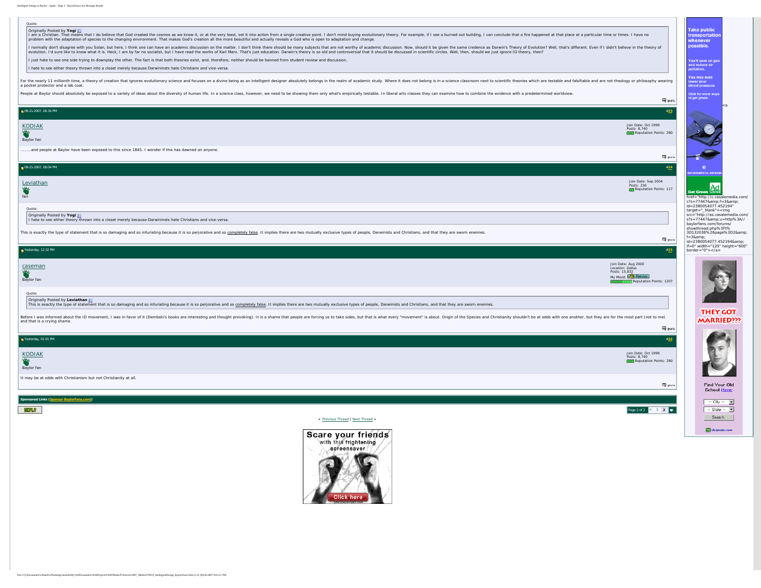| Originally Posted by Yogi<br>transportatio<br>I am a Christian. That means that I do believe that God created the cosmos as we know it, or at the very least, set it into action from a single creative point. I don't mind buying evolutionary theory. For example, if I se<br>problem with the adaptation of species to the changing environment. That makes God's creation all the more beautiful and actually reveals a God who is open to adaptation and change.<br>whenever<br>possible.<br>I normally don't disagree with you Solan, but here, I think one can have an academic discussion on the matter. I don't think there should be many subjects that are not worthy of academic discussion. Now, should it be given<br>evolution, I'd sure like to know what it is. Heck, I am by far no socialist, but I have read the works of Karl Marx. That's just education. Darwin's theory is so old and controversial that it should be discussed in scienti<br>I just hate to see one side trying to downplay the other. The fact is that both theories exist, and, therefore, neither should be banned from student review and discussion.<br>You'll save on ga<br>and reduce air<br>pollution.<br>I hate to see either theory thrown into a closet merely because Darwininsts hate Christians and vice-versa.<br>You may even<br>For the nearly 11 millionth time, a theory of creation that ignores evolutionary science and focuses on a divine being as an intelligent designer absolutely belongs in the realm of academic study. Where it does not belong<br>ower your<br>blood pressure<br>People at Baylor should absolutely be exposed to a variety of ideas about the diversity of human life. In a science class, however, we need to be showing them only what's empirically testable. In liberal arts classes they<br>Click for more wa<br>lo get green.<br><b>Eig</b> quote<br>09-21-2007, 06:34 PM<br>#23<br>Join Date: Oct 1999<br><b>KODIAK</b><br>Posts: 8,740<br><b>DD</b> Reputation Points: 280<br>۳<br>Baylor fan<br>and people at Baylor have been exposed to this since 1845. I wonder if this has dawned on anyone.<br><b>Eig</b> quote<br>09-21-2007, 08:04 PM<br>e<br>#24<br><b>NMONTAL DOF</b><br>Join Date: Sep 2004<br>Leviathan<br>Posts: 230<br><b>AC</b><br>Get Green Courc<br>$rac{1}{\tan \theta}$<br>Reputation Points: 117<br>href="http://c.casalemedia.com/<br>c?s=77447& f=3&<br>id=2380054077.452194"<br>Quote<br>target="_blank"> <img<br>src="http://as.casalemedia.com/<br/>Originally Posted by Yogi<br/>s?s=77447&amp;u=http%3A//<br/>I hate to see either theory thrown into a closet merely because Darwininsts hate Christians and vice-versa.<br/>baylorfans.com/forums/<br/>showthread.php%3Ft%<br/>This is exactly the type of statement that is so damaging and so infuriating because it is so perjorative and so completely false. It implies there are two mutually exclusive types of people, Darwinists and Christians, and<br/>3D132038%26page%3D2&amp;<br/><math>=3</math>&amp;<br/><b>Eig</b> quote<br/>id=2380054077.452194&amp;<br/>if=0" width="120" height="600"<br/>Yesterday, 12:32 PM<br/><math>+25</math><br/>border="0"&gt;<br/>Join Date: Aug 2000<br/>caseman<br/>Location: Dallas<br/>Posts: 15,832<br/>₩<br/>My Mood: Pensive<br/>Baylor fan<br/>Reputation Points: 1207<br/>Quote:<br/>Originally Posted by Leviathan<br/>This is exactly the type of statement that is so damaging and so infuriating because it is so perjorative and so completely false. It implies there are two mutually exclusive types of people, Darwinists and Christians, and<br/>ΤΗΕΥ GOT<br/>Before I was informed about the ID movement, I was in favor of it (Dembski's books are interesting and thought provoking). It is a shame that people are forcing us to take sides, but that is what every "movement" is about.<br/><b>MARRIED???</b><br/>and that is a crying shame.<br/><b>Eig</b> quote<br/>Yesterday, 01:01 PM<br/>#26<br/>Join Date: Oct 1999<br/><b>KODIAK</b><br/>Posts: 8,740<br/>₩<br/><b>CCC</b> Reputation Points: 280<br/>Baylor fan<br/>It may be at odds with Christianism but not Christianity at all.<br/><b>Eig</b> quote<br/>Find Your Old<br/>School <u>Here:</u><br/>Sponsored Links (Sponsor BaylorFans.com!)<br/><math>-</math> City <math> -</math><br/>Page 2 of 2 <math>\vert</math> &lt; 1 2 <math>\vert</math><br/><math>-</math> State <math> \bullet</math><br/><b>REPLY</b><br/>Search<br/>« Previous Thread   Next Thread »<br/>classmates-com<br/>Scare your friends<br/>with this frightening</img<br> | Quote:                             |                    |
|---------------------------------------------------------------------------------------------------------------------------------------------------------------------------------------------------------------------------------------------------------------------------------------------------------------------------------------------------------------------------------------------------------------------------------------------------------------------------------------------------------------------------------------------------------------------------------------------------------------------------------------------------------------------------------------------------------------------------------------------------------------------------------------------------------------------------------------------------------------------------------------------------------------------------------------------------------------------------------------------------------------------------------------------------------------------------------------------------------------------------------------------------------------------------------------------------------------------------------------------------------------------------------------------------------------------------------------------------------------------------------------------------------------------------------------------------------------------------------------------------------------------------------------------------------------------------------------------------------------------------------------------------------------------------------------------------------------------------------------------------------------------------------------------------------------------------------------------------------------------------------------------------------------------------------------------------------------------------------------------------------------------------------------------------------------------------------------------------------------------------------------------------------------------------------------------------------------------------------------------------------------------------------------------------------------------------------------------------------------------------------------------------------------------------------------------------------------------------------------------------------------------------------------------------------------------------------------------------------------------------------------------------------------------------------------------------------------------------------------------------------------------------------------------------------------------------------------------------------------------------------------------------------------------------------------------------------------------------------------------------------------------------------------------------------------------------------------------------------------------------------------------------------------------------------------------------------------------------------------------------------------------------------------------------------------------------------------------------------------------------------------------------------------------------------------------------------------------------------------------------------------------------------------------------------------------------------------------------------------------------------------------------------------------------------------------------------------------------------------------------------------------------------------------------------------------------------------------------------------------------------------------------------------------------------------------------------------------------------------------------------------------------------------------------------------------------------------------------------------------------------------------------------------------------------------------------------------------------------------------------------------------------------------------------------------------------------------------------------------------------------------------------------------------------------------------------------------------------------------------------------------------------------------------------------------------------------------------------------------------|------------------------------------|--------------------|
|                                                                                                                                                                                                                                                                                                                                                                                                                                                                                                                                                                                                                                                                                                                                                                                                                                                                                                                                                                                                                                                                                                                                                                                                                                                                                                                                                                                                                                                                                                                                                                                                                                                                                                                                                                                                                                                                                                                                                                                                                                                                                                                                                                                                                                                                                                                                                                                                                                                                                                                                                                                                                                                                                                                                                                                                                                                                                                                                                                                                                                                                                                                                                                                                                                                                                                                                                                                                                                                                                                                                                                                                                                                                                                                                                                                                                                                                                                                                                                                                                                                                                                                                                                                                                                                                                                                                                                                                                                                                                                                                                                                                                     |                                    | <b>Take public</b> |
|                                                                                                                                                                                                                                                                                                                                                                                                                                                                                                                                                                                                                                                                                                                                                                                                                                                                                                                                                                                                                                                                                                                                                                                                                                                                                                                                                                                                                                                                                                                                                                                                                                                                                                                                                                                                                                                                                                                                                                                                                                                                                                                                                                                                                                                                                                                                                                                                                                                                                                                                                                                                                                                                                                                                                                                                                                                                                                                                                                                                                                                                                                                                                                                                                                                                                                                                                                                                                                                                                                                                                                                                                                                                                                                                                                                                                                                                                                                                                                                                                                                                                                                                                                                                                                                                                                                                                                                                                                                                                                                                                                                                                     |                                    |                    |
|                                                                                                                                                                                                                                                                                                                                                                                                                                                                                                                                                                                                                                                                                                                                                                                                                                                                                                                                                                                                                                                                                                                                                                                                                                                                                                                                                                                                                                                                                                                                                                                                                                                                                                                                                                                                                                                                                                                                                                                                                                                                                                                                                                                                                                                                                                                                                                                                                                                                                                                                                                                                                                                                                                                                                                                                                                                                                                                                                                                                                                                                                                                                                                                                                                                                                                                                                                                                                                                                                                                                                                                                                                                                                                                                                                                                                                                                                                                                                                                                                                                                                                                                                                                                                                                                                                                                                                                                                                                                                                                                                                                                                     |                                    |                    |
|                                                                                                                                                                                                                                                                                                                                                                                                                                                                                                                                                                                                                                                                                                                                                                                                                                                                                                                                                                                                                                                                                                                                                                                                                                                                                                                                                                                                                                                                                                                                                                                                                                                                                                                                                                                                                                                                                                                                                                                                                                                                                                                                                                                                                                                                                                                                                                                                                                                                                                                                                                                                                                                                                                                                                                                                                                                                                                                                                                                                                                                                                                                                                                                                                                                                                                                                                                                                                                                                                                                                                                                                                                                                                                                                                                                                                                                                                                                                                                                                                                                                                                                                                                                                                                                                                                                                                                                                                                                                                                                                                                                                                     |                                    |                    |
|                                                                                                                                                                                                                                                                                                                                                                                                                                                                                                                                                                                                                                                                                                                                                                                                                                                                                                                                                                                                                                                                                                                                                                                                                                                                                                                                                                                                                                                                                                                                                                                                                                                                                                                                                                                                                                                                                                                                                                                                                                                                                                                                                                                                                                                                                                                                                                                                                                                                                                                                                                                                                                                                                                                                                                                                                                                                                                                                                                                                                                                                                                                                                                                                                                                                                                                                                                                                                                                                                                                                                                                                                                                                                                                                                                                                                                                                                                                                                                                                                                                                                                                                                                                                                                                                                                                                                                                                                                                                                                                                                                                                                     | a pocket protector and a lab coat. |                    |
|                                                                                                                                                                                                                                                                                                                                                                                                                                                                                                                                                                                                                                                                                                                                                                                                                                                                                                                                                                                                                                                                                                                                                                                                                                                                                                                                                                                                                                                                                                                                                                                                                                                                                                                                                                                                                                                                                                                                                                                                                                                                                                                                                                                                                                                                                                                                                                                                                                                                                                                                                                                                                                                                                                                                                                                                                                                                                                                                                                                                                                                                                                                                                                                                                                                                                                                                                                                                                                                                                                                                                                                                                                                                                                                                                                                                                                                                                                                                                                                                                                                                                                                                                                                                                                                                                                                                                                                                                                                                                                                                                                                                                     |                                    |                    |
|                                                                                                                                                                                                                                                                                                                                                                                                                                                                                                                                                                                                                                                                                                                                                                                                                                                                                                                                                                                                                                                                                                                                                                                                                                                                                                                                                                                                                                                                                                                                                                                                                                                                                                                                                                                                                                                                                                                                                                                                                                                                                                                                                                                                                                                                                                                                                                                                                                                                                                                                                                                                                                                                                                                                                                                                                                                                                                                                                                                                                                                                                                                                                                                                                                                                                                                                                                                                                                                                                                                                                                                                                                                                                                                                                                                                                                                                                                                                                                                                                                                                                                                                                                                                                                                                                                                                                                                                                                                                                                                                                                                                                     |                                    |                    |
|                                                                                                                                                                                                                                                                                                                                                                                                                                                                                                                                                                                                                                                                                                                                                                                                                                                                                                                                                                                                                                                                                                                                                                                                                                                                                                                                                                                                                                                                                                                                                                                                                                                                                                                                                                                                                                                                                                                                                                                                                                                                                                                                                                                                                                                                                                                                                                                                                                                                                                                                                                                                                                                                                                                                                                                                                                                                                                                                                                                                                                                                                                                                                                                                                                                                                                                                                                                                                                                                                                                                                                                                                                                                                                                                                                                                                                                                                                                                                                                                                                                                                                                                                                                                                                                                                                                                                                                                                                                                                                                                                                                                                     |                                    |                    |
|                                                                                                                                                                                                                                                                                                                                                                                                                                                                                                                                                                                                                                                                                                                                                                                                                                                                                                                                                                                                                                                                                                                                                                                                                                                                                                                                                                                                                                                                                                                                                                                                                                                                                                                                                                                                                                                                                                                                                                                                                                                                                                                                                                                                                                                                                                                                                                                                                                                                                                                                                                                                                                                                                                                                                                                                                                                                                                                                                                                                                                                                                                                                                                                                                                                                                                                                                                                                                                                                                                                                                                                                                                                                                                                                                                                                                                                                                                                                                                                                                                                                                                                                                                                                                                                                                                                                                                                                                                                                                                                                                                                                                     |                                    |                    |
|                                                                                                                                                                                                                                                                                                                                                                                                                                                                                                                                                                                                                                                                                                                                                                                                                                                                                                                                                                                                                                                                                                                                                                                                                                                                                                                                                                                                                                                                                                                                                                                                                                                                                                                                                                                                                                                                                                                                                                                                                                                                                                                                                                                                                                                                                                                                                                                                                                                                                                                                                                                                                                                                                                                                                                                                                                                                                                                                                                                                                                                                                                                                                                                                                                                                                                                                                                                                                                                                                                                                                                                                                                                                                                                                                                                                                                                                                                                                                                                                                                                                                                                                                                                                                                                                                                                                                                                                                                                                                                                                                                                                                     |                                    |                    |
|                                                                                                                                                                                                                                                                                                                                                                                                                                                                                                                                                                                                                                                                                                                                                                                                                                                                                                                                                                                                                                                                                                                                                                                                                                                                                                                                                                                                                                                                                                                                                                                                                                                                                                                                                                                                                                                                                                                                                                                                                                                                                                                                                                                                                                                                                                                                                                                                                                                                                                                                                                                                                                                                                                                                                                                                                                                                                                                                                                                                                                                                                                                                                                                                                                                                                                                                                                                                                                                                                                                                                                                                                                                                                                                                                                                                                                                                                                                                                                                                                                                                                                                                                                                                                                                                                                                                                                                                                                                                                                                                                                                                                     |                                    |                    |
|                                                                                                                                                                                                                                                                                                                                                                                                                                                                                                                                                                                                                                                                                                                                                                                                                                                                                                                                                                                                                                                                                                                                                                                                                                                                                                                                                                                                                                                                                                                                                                                                                                                                                                                                                                                                                                                                                                                                                                                                                                                                                                                                                                                                                                                                                                                                                                                                                                                                                                                                                                                                                                                                                                                                                                                                                                                                                                                                                                                                                                                                                                                                                                                                                                                                                                                                                                                                                                                                                                                                                                                                                                                                                                                                                                                                                                                                                                                                                                                                                                                                                                                                                                                                                                                                                                                                                                                                                                                                                                                                                                                                                     |                                    |                    |
|                                                                                                                                                                                                                                                                                                                                                                                                                                                                                                                                                                                                                                                                                                                                                                                                                                                                                                                                                                                                                                                                                                                                                                                                                                                                                                                                                                                                                                                                                                                                                                                                                                                                                                                                                                                                                                                                                                                                                                                                                                                                                                                                                                                                                                                                                                                                                                                                                                                                                                                                                                                                                                                                                                                                                                                                                                                                                                                                                                                                                                                                                                                                                                                                                                                                                                                                                                                                                                                                                                                                                                                                                                                                                                                                                                                                                                                                                                                                                                                                                                                                                                                                                                                                                                                                                                                                                                                                                                                                                                                                                                                                                     |                                    |                    |
|                                                                                                                                                                                                                                                                                                                                                                                                                                                                                                                                                                                                                                                                                                                                                                                                                                                                                                                                                                                                                                                                                                                                                                                                                                                                                                                                                                                                                                                                                                                                                                                                                                                                                                                                                                                                                                                                                                                                                                                                                                                                                                                                                                                                                                                                                                                                                                                                                                                                                                                                                                                                                                                                                                                                                                                                                                                                                                                                                                                                                                                                                                                                                                                                                                                                                                                                                                                                                                                                                                                                                                                                                                                                                                                                                                                                                                                                                                                                                                                                                                                                                                                                                                                                                                                                                                                                                                                                                                                                                                                                                                                                                     |                                    |                    |
|                                                                                                                                                                                                                                                                                                                                                                                                                                                                                                                                                                                                                                                                                                                                                                                                                                                                                                                                                                                                                                                                                                                                                                                                                                                                                                                                                                                                                                                                                                                                                                                                                                                                                                                                                                                                                                                                                                                                                                                                                                                                                                                                                                                                                                                                                                                                                                                                                                                                                                                                                                                                                                                                                                                                                                                                                                                                                                                                                                                                                                                                                                                                                                                                                                                                                                                                                                                                                                                                                                                                                                                                                                                                                                                                                                                                                                                                                                                                                                                                                                                                                                                                                                                                                                                                                                                                                                                                                                                                                                                                                                                                                     |                                    |                    |
|                                                                                                                                                                                                                                                                                                                                                                                                                                                                                                                                                                                                                                                                                                                                                                                                                                                                                                                                                                                                                                                                                                                                                                                                                                                                                                                                                                                                                                                                                                                                                                                                                                                                                                                                                                                                                                                                                                                                                                                                                                                                                                                                                                                                                                                                                                                                                                                                                                                                                                                                                                                                                                                                                                                                                                                                                                                                                                                                                                                                                                                                                                                                                                                                                                                                                                                                                                                                                                                                                                                                                                                                                                                                                                                                                                                                                                                                                                                                                                                                                                                                                                                                                                                                                                                                                                                                                                                                                                                                                                                                                                                                                     |                                    |                    |
|                                                                                                                                                                                                                                                                                                                                                                                                                                                                                                                                                                                                                                                                                                                                                                                                                                                                                                                                                                                                                                                                                                                                                                                                                                                                                                                                                                                                                                                                                                                                                                                                                                                                                                                                                                                                                                                                                                                                                                                                                                                                                                                                                                                                                                                                                                                                                                                                                                                                                                                                                                                                                                                                                                                                                                                                                                                                                                                                                                                                                                                                                                                                                                                                                                                                                                                                                                                                                                                                                                                                                                                                                                                                                                                                                                                                                                                                                                                                                                                                                                                                                                                                                                                                                                                                                                                                                                                                                                                                                                                                                                                                                     |                                    |                    |
|                                                                                                                                                                                                                                                                                                                                                                                                                                                                                                                                                                                                                                                                                                                                                                                                                                                                                                                                                                                                                                                                                                                                                                                                                                                                                                                                                                                                                                                                                                                                                                                                                                                                                                                                                                                                                                                                                                                                                                                                                                                                                                                                                                                                                                                                                                                                                                                                                                                                                                                                                                                                                                                                                                                                                                                                                                                                                                                                                                                                                                                                                                                                                                                                                                                                                                                                                                                                                                                                                                                                                                                                                                                                                                                                                                                                                                                                                                                                                                                                                                                                                                                                                                                                                                                                                                                                                                                                                                                                                                                                                                                                                     |                                    |                    |
|                                                                                                                                                                                                                                                                                                                                                                                                                                                                                                                                                                                                                                                                                                                                                                                                                                                                                                                                                                                                                                                                                                                                                                                                                                                                                                                                                                                                                                                                                                                                                                                                                                                                                                                                                                                                                                                                                                                                                                                                                                                                                                                                                                                                                                                                                                                                                                                                                                                                                                                                                                                                                                                                                                                                                                                                                                                                                                                                                                                                                                                                                                                                                                                                                                                                                                                                                                                                                                                                                                                                                                                                                                                                                                                                                                                                                                                                                                                                                                                                                                                                                                                                                                                                                                                                                                                                                                                                                                                                                                                                                                                                                     |                                    |                    |
|                                                                                                                                                                                                                                                                                                                                                                                                                                                                                                                                                                                                                                                                                                                                                                                                                                                                                                                                                                                                                                                                                                                                                                                                                                                                                                                                                                                                                                                                                                                                                                                                                                                                                                                                                                                                                                                                                                                                                                                                                                                                                                                                                                                                                                                                                                                                                                                                                                                                                                                                                                                                                                                                                                                                                                                                                                                                                                                                                                                                                                                                                                                                                                                                                                                                                                                                                                                                                                                                                                                                                                                                                                                                                                                                                                                                                                                                                                                                                                                                                                                                                                                                                                                                                                                                                                                                                                                                                                                                                                                                                                                                                     |                                    |                    |
|                                                                                                                                                                                                                                                                                                                                                                                                                                                                                                                                                                                                                                                                                                                                                                                                                                                                                                                                                                                                                                                                                                                                                                                                                                                                                                                                                                                                                                                                                                                                                                                                                                                                                                                                                                                                                                                                                                                                                                                                                                                                                                                                                                                                                                                                                                                                                                                                                                                                                                                                                                                                                                                                                                                                                                                                                                                                                                                                                                                                                                                                                                                                                                                                                                                                                                                                                                                                                                                                                                                                                                                                                                                                                                                                                                                                                                                                                                                                                                                                                                                                                                                                                                                                                                                                                                                                                                                                                                                                                                                                                                                                                     |                                    |                    |
|                                                                                                                                                                                                                                                                                                                                                                                                                                                                                                                                                                                                                                                                                                                                                                                                                                                                                                                                                                                                                                                                                                                                                                                                                                                                                                                                                                                                                                                                                                                                                                                                                                                                                                                                                                                                                                                                                                                                                                                                                                                                                                                                                                                                                                                                                                                                                                                                                                                                                                                                                                                                                                                                                                                                                                                                                                                                                                                                                                                                                                                                                                                                                                                                                                                                                                                                                                                                                                                                                                                                                                                                                                                                                                                                                                                                                                                                                                                                                                                                                                                                                                                                                                                                                                                                                                                                                                                                                                                                                                                                                                                                                     |                                    |                    |
|                                                                                                                                                                                                                                                                                                                                                                                                                                                                                                                                                                                                                                                                                                                                                                                                                                                                                                                                                                                                                                                                                                                                                                                                                                                                                                                                                                                                                                                                                                                                                                                                                                                                                                                                                                                                                                                                                                                                                                                                                                                                                                                                                                                                                                                                                                                                                                                                                                                                                                                                                                                                                                                                                                                                                                                                                                                                                                                                                                                                                                                                                                                                                                                                                                                                                                                                                                                                                                                                                                                                                                                                                                                                                                                                                                                                                                                                                                                                                                                                                                                                                                                                                                                                                                                                                                                                                                                                                                                                                                                                                                                                                     |                                    |                    |
|                                                                                                                                                                                                                                                                                                                                                                                                                                                                                                                                                                                                                                                                                                                                                                                                                                                                                                                                                                                                                                                                                                                                                                                                                                                                                                                                                                                                                                                                                                                                                                                                                                                                                                                                                                                                                                                                                                                                                                                                                                                                                                                                                                                                                                                                                                                                                                                                                                                                                                                                                                                                                                                                                                                                                                                                                                                                                                                                                                                                                                                                                                                                                                                                                                                                                                                                                                                                                                                                                                                                                                                                                                                                                                                                                                                                                                                                                                                                                                                                                                                                                                                                                                                                                                                                                                                                                                                                                                                                                                                                                                                                                     |                                    |                    |
|                                                                                                                                                                                                                                                                                                                                                                                                                                                                                                                                                                                                                                                                                                                                                                                                                                                                                                                                                                                                                                                                                                                                                                                                                                                                                                                                                                                                                                                                                                                                                                                                                                                                                                                                                                                                                                                                                                                                                                                                                                                                                                                                                                                                                                                                                                                                                                                                                                                                                                                                                                                                                                                                                                                                                                                                                                                                                                                                                                                                                                                                                                                                                                                                                                                                                                                                                                                                                                                                                                                                                                                                                                                                                                                                                                                                                                                                                                                                                                                                                                                                                                                                                                                                                                                                                                                                                                                                                                                                                                                                                                                                                     |                                    |                    |
|                                                                                                                                                                                                                                                                                                                                                                                                                                                                                                                                                                                                                                                                                                                                                                                                                                                                                                                                                                                                                                                                                                                                                                                                                                                                                                                                                                                                                                                                                                                                                                                                                                                                                                                                                                                                                                                                                                                                                                                                                                                                                                                                                                                                                                                                                                                                                                                                                                                                                                                                                                                                                                                                                                                                                                                                                                                                                                                                                                                                                                                                                                                                                                                                                                                                                                                                                                                                                                                                                                                                                                                                                                                                                                                                                                                                                                                                                                                                                                                                                                                                                                                                                                                                                                                                                                                                                                                                                                                                                                                                                                                                                     |                                    |                    |
|                                                                                                                                                                                                                                                                                                                                                                                                                                                                                                                                                                                                                                                                                                                                                                                                                                                                                                                                                                                                                                                                                                                                                                                                                                                                                                                                                                                                                                                                                                                                                                                                                                                                                                                                                                                                                                                                                                                                                                                                                                                                                                                                                                                                                                                                                                                                                                                                                                                                                                                                                                                                                                                                                                                                                                                                                                                                                                                                                                                                                                                                                                                                                                                                                                                                                                                                                                                                                                                                                                                                                                                                                                                                                                                                                                                                                                                                                                                                                                                                                                                                                                                                                                                                                                                                                                                                                                                                                                                                                                                                                                                                                     |                                    |                    |
|                                                                                                                                                                                                                                                                                                                                                                                                                                                                                                                                                                                                                                                                                                                                                                                                                                                                                                                                                                                                                                                                                                                                                                                                                                                                                                                                                                                                                                                                                                                                                                                                                                                                                                                                                                                                                                                                                                                                                                                                                                                                                                                                                                                                                                                                                                                                                                                                                                                                                                                                                                                                                                                                                                                                                                                                                                                                                                                                                                                                                                                                                                                                                                                                                                                                                                                                                                                                                                                                                                                                                                                                                                                                                                                                                                                                                                                                                                                                                                                                                                                                                                                                                                                                                                                                                                                                                                                                                                                                                                                                                                                                                     |                                    |                    |
|                                                                                                                                                                                                                                                                                                                                                                                                                                                                                                                                                                                                                                                                                                                                                                                                                                                                                                                                                                                                                                                                                                                                                                                                                                                                                                                                                                                                                                                                                                                                                                                                                                                                                                                                                                                                                                                                                                                                                                                                                                                                                                                                                                                                                                                                                                                                                                                                                                                                                                                                                                                                                                                                                                                                                                                                                                                                                                                                                                                                                                                                                                                                                                                                                                                                                                                                                                                                                                                                                                                                                                                                                                                                                                                                                                                                                                                                                                                                                                                                                                                                                                                                                                                                                                                                                                                                                                                                                                                                                                                                                                                                                     |                                    |                    |
|                                                                                                                                                                                                                                                                                                                                                                                                                                                                                                                                                                                                                                                                                                                                                                                                                                                                                                                                                                                                                                                                                                                                                                                                                                                                                                                                                                                                                                                                                                                                                                                                                                                                                                                                                                                                                                                                                                                                                                                                                                                                                                                                                                                                                                                                                                                                                                                                                                                                                                                                                                                                                                                                                                                                                                                                                                                                                                                                                                                                                                                                                                                                                                                                                                                                                                                                                                                                                                                                                                                                                                                                                                                                                                                                                                                                                                                                                                                                                                                                                                                                                                                                                                                                                                                                                                                                                                                                                                                                                                                                                                                                                     |                                    |                    |
|                                                                                                                                                                                                                                                                                                                                                                                                                                                                                                                                                                                                                                                                                                                                                                                                                                                                                                                                                                                                                                                                                                                                                                                                                                                                                                                                                                                                                                                                                                                                                                                                                                                                                                                                                                                                                                                                                                                                                                                                                                                                                                                                                                                                                                                                                                                                                                                                                                                                                                                                                                                                                                                                                                                                                                                                                                                                                                                                                                                                                                                                                                                                                                                                                                                                                                                                                                                                                                                                                                                                                                                                                                                                                                                                                                                                                                                                                                                                                                                                                                                                                                                                                                                                                                                                                                                                                                                                                                                                                                                                                                                                                     |                                    |                    |
|                                                                                                                                                                                                                                                                                                                                                                                                                                                                                                                                                                                                                                                                                                                                                                                                                                                                                                                                                                                                                                                                                                                                                                                                                                                                                                                                                                                                                                                                                                                                                                                                                                                                                                                                                                                                                                                                                                                                                                                                                                                                                                                                                                                                                                                                                                                                                                                                                                                                                                                                                                                                                                                                                                                                                                                                                                                                                                                                                                                                                                                                                                                                                                                                                                                                                                                                                                                                                                                                                                                                                                                                                                                                                                                                                                                                                                                                                                                                                                                                                                                                                                                                                                                                                                                                                                                                                                                                                                                                                                                                                                                                                     |                                    |                    |
|                                                                                                                                                                                                                                                                                                                                                                                                                                                                                                                                                                                                                                                                                                                                                                                                                                                                                                                                                                                                                                                                                                                                                                                                                                                                                                                                                                                                                                                                                                                                                                                                                                                                                                                                                                                                                                                                                                                                                                                                                                                                                                                                                                                                                                                                                                                                                                                                                                                                                                                                                                                                                                                                                                                                                                                                                                                                                                                                                                                                                                                                                                                                                                                                                                                                                                                                                                                                                                                                                                                                                                                                                                                                                                                                                                                                                                                                                                                                                                                                                                                                                                                                                                                                                                                                                                                                                                                                                                                                                                                                                                                                                     |                                    |                    |
|                                                                                                                                                                                                                                                                                                                                                                                                                                                                                                                                                                                                                                                                                                                                                                                                                                                                                                                                                                                                                                                                                                                                                                                                                                                                                                                                                                                                                                                                                                                                                                                                                                                                                                                                                                                                                                                                                                                                                                                                                                                                                                                                                                                                                                                                                                                                                                                                                                                                                                                                                                                                                                                                                                                                                                                                                                                                                                                                                                                                                                                                                                                                                                                                                                                                                                                                                                                                                                                                                                                                                                                                                                                                                                                                                                                                                                                                                                                                                                                                                                                                                                                                                                                                                                                                                                                                                                                                                                                                                                                                                                                                                     |                                    |                    |
|                                                                                                                                                                                                                                                                                                                                                                                                                                                                                                                                                                                                                                                                                                                                                                                                                                                                                                                                                                                                                                                                                                                                                                                                                                                                                                                                                                                                                                                                                                                                                                                                                                                                                                                                                                                                                                                                                                                                                                                                                                                                                                                                                                                                                                                                                                                                                                                                                                                                                                                                                                                                                                                                                                                                                                                                                                                                                                                                                                                                                                                                                                                                                                                                                                                                                                                                                                                                                                                                                                                                                                                                                                                                                                                                                                                                                                                                                                                                                                                                                                                                                                                                                                                                                                                                                                                                                                                                                                                                                                                                                                                                                     |                                    |                    |
|                                                                                                                                                                                                                                                                                                                                                                                                                                                                                                                                                                                                                                                                                                                                                                                                                                                                                                                                                                                                                                                                                                                                                                                                                                                                                                                                                                                                                                                                                                                                                                                                                                                                                                                                                                                                                                                                                                                                                                                                                                                                                                                                                                                                                                                                                                                                                                                                                                                                                                                                                                                                                                                                                                                                                                                                                                                                                                                                                                                                                                                                                                                                                                                                                                                                                                                                                                                                                                                                                                                                                                                                                                                                                                                                                                                                                                                                                                                                                                                                                                                                                                                                                                                                                                                                                                                                                                                                                                                                                                                                                                                                                     |                                    |                    |
|                                                                                                                                                                                                                                                                                                                                                                                                                                                                                                                                                                                                                                                                                                                                                                                                                                                                                                                                                                                                                                                                                                                                                                                                                                                                                                                                                                                                                                                                                                                                                                                                                                                                                                                                                                                                                                                                                                                                                                                                                                                                                                                                                                                                                                                                                                                                                                                                                                                                                                                                                                                                                                                                                                                                                                                                                                                                                                                                                                                                                                                                                                                                                                                                                                                                                                                                                                                                                                                                                                                                                                                                                                                                                                                                                                                                                                                                                                                                                                                                                                                                                                                                                                                                                                                                                                                                                                                                                                                                                                                                                                                                                     |                                    |                    |
|                                                                                                                                                                                                                                                                                                                                                                                                                                                                                                                                                                                                                                                                                                                                                                                                                                                                                                                                                                                                                                                                                                                                                                                                                                                                                                                                                                                                                                                                                                                                                                                                                                                                                                                                                                                                                                                                                                                                                                                                                                                                                                                                                                                                                                                                                                                                                                                                                                                                                                                                                                                                                                                                                                                                                                                                                                                                                                                                                                                                                                                                                                                                                                                                                                                                                                                                                                                                                                                                                                                                                                                                                                                                                                                                                                                                                                                                                                                                                                                                                                                                                                                                                                                                                                                                                                                                                                                                                                                                                                                                                                                                                     |                                    |                    |
|                                                                                                                                                                                                                                                                                                                                                                                                                                                                                                                                                                                                                                                                                                                                                                                                                                                                                                                                                                                                                                                                                                                                                                                                                                                                                                                                                                                                                                                                                                                                                                                                                                                                                                                                                                                                                                                                                                                                                                                                                                                                                                                                                                                                                                                                                                                                                                                                                                                                                                                                                                                                                                                                                                                                                                                                                                                                                                                                                                                                                                                                                                                                                                                                                                                                                                                                                                                                                                                                                                                                                                                                                                                                                                                                                                                                                                                                                                                                                                                                                                                                                                                                                                                                                                                                                                                                                                                                                                                                                                                                                                                                                     |                                    |                    |
|                                                                                                                                                                                                                                                                                                                                                                                                                                                                                                                                                                                                                                                                                                                                                                                                                                                                                                                                                                                                                                                                                                                                                                                                                                                                                                                                                                                                                                                                                                                                                                                                                                                                                                                                                                                                                                                                                                                                                                                                                                                                                                                                                                                                                                                                                                                                                                                                                                                                                                                                                                                                                                                                                                                                                                                                                                                                                                                                                                                                                                                                                                                                                                                                                                                                                                                                                                                                                                                                                                                                                                                                                                                                                                                                                                                                                                                                                                                                                                                                                                                                                                                                                                                                                                                                                                                                                                                                                                                                                                                                                                                                                     |                                    |                    |
|                                                                                                                                                                                                                                                                                                                                                                                                                                                                                                                                                                                                                                                                                                                                                                                                                                                                                                                                                                                                                                                                                                                                                                                                                                                                                                                                                                                                                                                                                                                                                                                                                                                                                                                                                                                                                                                                                                                                                                                                                                                                                                                                                                                                                                                                                                                                                                                                                                                                                                                                                                                                                                                                                                                                                                                                                                                                                                                                                                                                                                                                                                                                                                                                                                                                                                                                                                                                                                                                                                                                                                                                                                                                                                                                                                                                                                                                                                                                                                                                                                                                                                                                                                                                                                                                                                                                                                                                                                                                                                                                                                                                                     |                                    |                    |
|                                                                                                                                                                                                                                                                                                                                                                                                                                                                                                                                                                                                                                                                                                                                                                                                                                                                                                                                                                                                                                                                                                                                                                                                                                                                                                                                                                                                                                                                                                                                                                                                                                                                                                                                                                                                                                                                                                                                                                                                                                                                                                                                                                                                                                                                                                                                                                                                                                                                                                                                                                                                                                                                                                                                                                                                                                                                                                                                                                                                                                                                                                                                                                                                                                                                                                                                                                                                                                                                                                                                                                                                                                                                                                                                                                                                                                                                                                                                                                                                                                                                                                                                                                                                                                                                                                                                                                                                                                                                                                                                                                                                                     |                                    |                    |
|                                                                                                                                                                                                                                                                                                                                                                                                                                                                                                                                                                                                                                                                                                                                                                                                                                                                                                                                                                                                                                                                                                                                                                                                                                                                                                                                                                                                                                                                                                                                                                                                                                                                                                                                                                                                                                                                                                                                                                                                                                                                                                                                                                                                                                                                                                                                                                                                                                                                                                                                                                                                                                                                                                                                                                                                                                                                                                                                                                                                                                                                                                                                                                                                                                                                                                                                                                                                                                                                                                                                                                                                                                                                                                                                                                                                                                                                                                                                                                                                                                                                                                                                                                                                                                                                                                                                                                                                                                                                                                                                                                                                                     |                                    |                    |

file:///C|/Documents%20and%20Settings/marksb/My%20Documents/WebProjects/Fluff/Marks/P/Articles/2007\_Media/070919\_IntelligentDesign\_BaylorFans2.htm (2 of 3)9/26/2007 8:01:21 PM